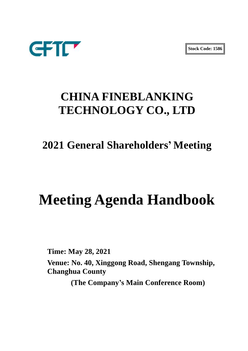

**Stock Code: 1586** 

# **CHINA FINEBLANKING TECHNOLOGY CO., LTD**

# **2021 General Shareholders' Meeting**

# **Meeting Agenda Handbook**

**Time: May 28, 2021 Venue: No. 40, Xinggong Road, Shengang Township, Changhua County** 

**(The Company's Main Conference Room)**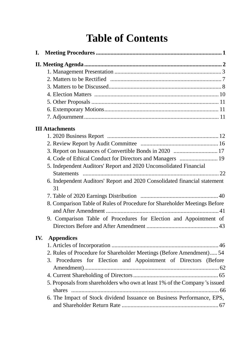# **Table of Contents**

| I.  |                                                                            |
|-----|----------------------------------------------------------------------------|
|     |                                                                            |
|     |                                                                            |
|     |                                                                            |
|     |                                                                            |
|     |                                                                            |
|     |                                                                            |
|     |                                                                            |
|     |                                                                            |
|     | <b>III Attachments</b>                                                     |
|     |                                                                            |
|     |                                                                            |
|     | 3. Report on Issuances of Convertible Bonds in 2020  17                    |
|     | 4. Code of Ethical Conduct for Directors and Managers  19                  |
|     | 5. Independent Auditors' Report and 2020 Unconsolidated Financial          |
|     |                                                                            |
|     | 6. Independent Auditors' Report and 2020 Consolidated financial statement  |
|     | 31                                                                         |
|     |                                                                            |
|     | 8. Comparison Table of Rules of Procedure for Shareholder Meetings Before  |
|     |                                                                            |
|     | 9. Comparison Table of Procedures for Election and Appointment of          |
|     |                                                                            |
| IV. | <b>Appendices</b>                                                          |
|     |                                                                            |
|     | 2. Rules of Procedure for Shareholder Meetings (Before Amendment) 54       |
|     | 3. Procedures for Election and Appointment of Directors (Before            |
|     |                                                                            |
|     |                                                                            |
|     | 5. Proposals from shareholders who own at least 1% of the Company's issued |
|     |                                                                            |
|     | 6. The Impact of Stock dividend Issuance on Business Performance, EPS,     |
|     |                                                                            |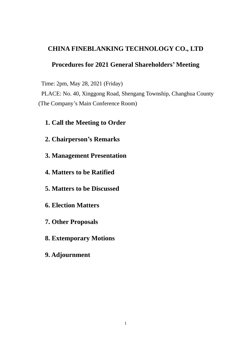# **CHINA FINEBLANKING TECHNOLOGY CO., LTD**

# **Procedures for 2021 General Shareholders' Meeting**

Time: 2pm, May 28, 2021 (Friday)

PLACE: No. 40, Xinggong Road, Shengang Township, Changhua County (The Company's Main Conference Room)

- **1. Call the Meeting to Order**
- **2. Chairperson's Remarks**
- **3. Management Presentation**
- **4. Matters to be Ratified**
- **5. Matters to be Discussed**
- **6. Election Matters**
- **7. Other Proposals**
- **8. Extemporary Motions**
- **9. Adjournment**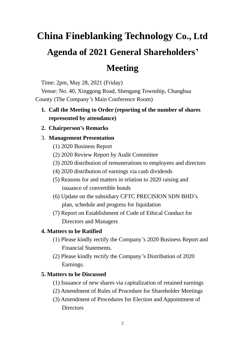# **China Fineblanking Technology Co., Ltd Agenda of 2021 General Shareholders' Meeting**

Time: 2pm, May 28, 2021 (Friday)

Venue: No. 40, Xinggong Road, Shengang Township, Changhua County (The Company's Main Conference Room)

- **1. Call the Meeting to Order (reporting of the number of shares represented by attendance)**
- **2. Chairperson's Remarks**

## 3. **Management Presentation**

- (1) 2020 Business Report
- (2) 2020 Review Report by Audit Committee
- (3) 2020 distribution of remunerations to employees and directors
- (4) 2020 distribution of earnings via cash dividends
- (5) Reasons for and matters in relation to 2020 raising and issuance of convertible bonds
- (6) Update on the subsidiary CFTC PRECISION SDN BHD's plan, schedule and progress for liquidation
- (7) Report on Establishment of Code of Ethical Conduct for Directors and Managers

## **4. Matters to be Ratified**

- (1) Please kindly rectify the Company's 2020 Business Report and Financial Statements.
- (2) Please kindly rectify the Company's Distribution of 2020 Earnings.

## **5. Matters to be Discussed**

- (1) Issuance of new shares via capitalization of retained earnings
- (2) Amendment of Rules of Procedure for Shareholder Meetings
- (3) Amendment of Procedures for Election and Appointment of **Directors**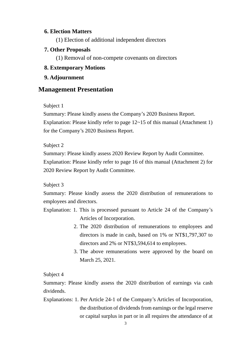## **6. Election Matters**

(1) Election of additional independent directors

## **7. Other Proposals**

(1) Removal of non-compete covenants on directors

#### **8. Extemporary Motions**

## **9. Adjournment**

## **Management Presentation**

Subject 1

Summary: Please kindly assess the Company's 2020 Business Report. Explanation: Please kindly refer to page  $12{\sim}15$  of this manual (Attachment 1) for the Company's 2020 Business Report.

#### Subject 2

Summary: Please kindly assess 2020 Review Report by Audit Committee. Explanation: Please kindly refer to page 16 of this manual (Attachment 2) for 2020 Review Report by Audit Committee.

#### Subject 3

Summary: Please kindly assess the 2020 distribution of remunerations to employees and directors.

Explanation: 1. This is processed pursuant to Article 24 of the Company's Articles of Incorporation.

- 2. The 2020 distribution of remunerations to employees and directors is made in cash, based on 1% or NT\$1,797,307 to directors and 2% or NT\$3,594,614 to employees.
- 3. The above remunerations were approved by the board on March 25, 2021.

Subject 4

Summary: Please kindly assess the 2020 distribution of earnings via cash dividends.

Explanations: 1. Per Article 24-1 of the Company's Articles of Incorporation, the distribution of dividends from earnings or the legal reserve or capital surplus in part or in all requires the attendance of at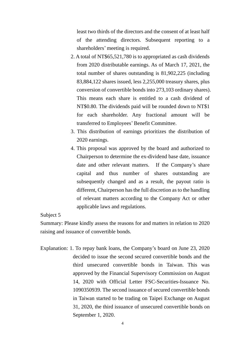least two thirds of the directors and the consent of at least half of the attending directors. Subsequent reporting to a shareholders' meeting is required.

- 2. A total of NT\$65,521,780 is to appropriated as cash dividends from 2020 distributable earnings. As of March 17, 2021, the total number of shares outstanding is 81,902,225 (including 83,884,122 shares issued, less 2,255,000 treasury shares, plus conversion of convertible bonds into 273,103 ordinary shares). This means each share is entitled to a cash dividend of NT\$0.80. The dividends paid will be rounded down to NT\$1 for each shareholder. Any fractional amount will be transferred to Employees' Benefit Committee.
- 3. This distribution of earnings prioritizes the distribution of 2020 earnings.
- 4. This proposal was approved by the board and authorized to Chairperson to determine the ex-dividend base date, issuance date and other relevant matters. If the Company's share capital and thus number of shares outstanding are subsequently changed and as a result, the payout ratio is different, Chairperson has the full discretion as to the handling of relevant matters according to the Company Act or other applicable laws and regulations.

Subject 5

Summary: Please kindly assess the reasons for and matters in relation to 2020 raising and issuance of convertible bonds.

Explanation: 1. To repay bank loans, the Company's board on June 23, 2020 decided to issue the second secured convertible bonds and the third unsecured convertible bonds in Taiwan. This was approved by the Financial Supervisory Commission on August 14, 2020 with Official Letter FSC-Securities-Issuance No. 1090350939. The second issuance of secured convertible bonds in Taiwan started to be trading on Taipei Exchange on August 31, 2020, the third issuance of unsecured convertible bonds on September 1, 2020.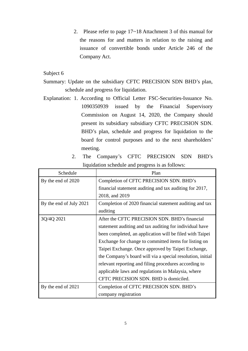2. Please refer to page 17~18 Attachment 3 of this manual for the reasons for and matters in relation to the raising and issuance of convertible bonds under Article 246 of the Company Act.

## Subject 6

- Summary: Update on the subsidiary CFTC PRECISION SDN BHD's plan, schedule and progress for liquidation.
- Explanation: 1. According to Official Letter FSC-Securities-Issuance No. 1090350939 issued by the Financial Supervisory Commission on August 14, 2020, the Company should present its subsidiary subsidiary CFTC PRECISION SDN. BHD's plan, schedule and progress for liquidation to the board for control purposes and to the next shareholders' meeting.

| Schedule                | Plan                                                       |
|-------------------------|------------------------------------------------------------|
| By the end of 2020      | Completion of CFTC PRECISION SDN. BHD's                    |
|                         | financial statement auditing and tax auditing for 2017,    |
|                         | 2018, and 2019                                             |
| By the end of July 2021 | Completion of 2020 financial statement auditing and tax    |
|                         | auditing                                                   |
| 3Q/4Q 2021              | After the CFTC PRECISION SDN. BHD's financial              |
|                         | statement auditing and tax auditing for individual have    |
|                         | been completed, an application will be filed with Taipei   |
|                         | Exchange for change to committed items for listing on      |
|                         | Taipei Exchange. Once approved by Taipei Exchange,         |
|                         | the Company's board will via a special resolution, initial |
|                         | relevant reporting and filing procedures according to      |
|                         | applicable laws and regulations in Malaysia, where         |
|                         | CFTC PRECISION SDN. BHD is domiciled.                      |
| By the end of 2021      | Completion of CFTC PRECISION SDN. BHD's                    |
|                         | company registration                                       |

2. The Company's CFTC PRECISION SDN BHD's liquidation schedule and progress is as follows: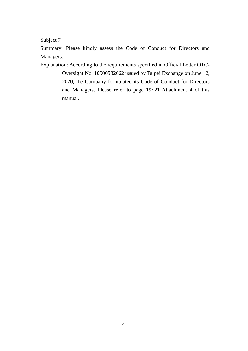Subject 7

Summary: Please kindly assess the Code of Conduct for Directors and Managers.

Explanation: According to the requirements specified in Official Letter OTC-

Oversight No. 10900582662 issued by Taipei Exchange on June 12, 2020, the Company formulated its Code of Conduct for Directors and Managers. Please refer to page 19~21 Attachment 4 of this manual.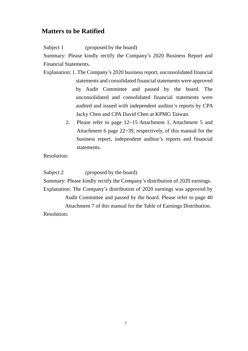## **Matters to be Ratified**

Subject 1 (proposed by the board)

Summary: Please kindly rectify the Company's 2020 Business Report and Financial Statements.

- Explanation: 1. The Company's 2020 business report, unconsolidated financial statements and consolidated financial statements were approved by Audit Committee and passed by the board. The unconsolidated and consolidated financial statements were audited and issued with independent auditor's reports by CPA Jacky Chen and CPA David Chen at KPMG Taiwan.
	- 2. Please refer to page 12~15 Attachment 1, Attachment 5 and Attachment 6 page 22~39, respectively, of this manual for the business report, independent auditor's reports and financial statements.

Resolution:

Subject 2 (proposed by the board)

Summary: Please kindly rectify the Company's distribution of 2020 earnings.

Explanation: The Company's distribution of 2020 earnings was approved by

Audit Committee and passed by the board. Please refer to page 40

Attachment 7 of this manual for the Table of Earnings Distribution. Resolution: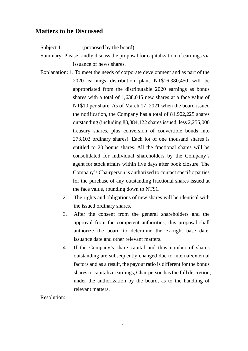## **Matters to be Discussed**

Subject 1 (proposed by the board)

Summary: Please kindly discuss the proposal for capitalization of earnings via issuance of news shares.

- Explanation: 1. To meet the needs of corporate development and as part of the 2020 earnings distribution plan, NT\$16,380,450 will be appropriated from the distributable 2020 earnings as bonus shares with a total of 1,638,045 new shares at a face value of NT\$10 per share. As of March 17, 2021 when the board issued the notification, the Company has a total of 81,902,225 shares outstanding (including 83,884,122 shares issued, less 2,255,000 treasury shares, plus conversion of convertible bonds into 273,103 ordinary shares). Each lot of one thousand shares is entitled to 20 bonus shares. All the fractional shares will be consolidated for individual shareholders by the Company's agent for stock affairs within five days after book closure. The Company's Chairperson is authorized to contact specific parties for the purchase of any outstanding fractional shares issued at the face value, rounding down to NT\$1.
	- 2. The rights and obligations of new shares will be identical with the issued ordinary shares.
	- 3. After the consent from the general shareholders and the approval from the competent authorities, this proposal shall authorize the board to determine the ex-right base date, issuance date and other relevant matters.
	- 4. If the Company's share capital and thus number of shares outstanding are subsequently changed due to internal/external factors and as a result, the payout ratio is different for the bonus shares to capitalize earnings, Chairperson has the full discretion, under the authorization by the board, as to the handling of relevant matters.

Resolution: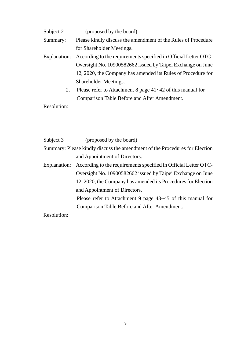- Subject 2 (proposed by the board)
- Summary: Please kindly discuss the amendment of the Rules of Procedure for Shareholder Meetings.
- Explanation: According to the requirements specified in Official Letter OTC-Oversight No. 10900582662 issued by Taipei Exchange on June 12, 2020, the Company has amended its Rules of Procedure for Shareholder Meetings.
	- 2. Please refer to Attachment 8 page 41~42 of this manual for Comparison Table Before and After Amendment.

Resolution:

| Subject 3       | (proposed by the board)                                                     |
|-----------------|-----------------------------------------------------------------------------|
|                 | Summary: Please kindly discuss the amendment of the Procedures for Election |
|                 | and Appointment of Directors.                                               |
| Explanation:    | According to the requirements specified in Official Letter OTC-             |
|                 | Oversight No. 10900582662 issued by Taipei Exchange on June                 |
|                 | 12, 2020, the Company has amended its Procedures for Election               |
|                 | and Appointment of Directors.                                               |
|                 | Please refer to Attachment 9 page $43 \sim 45$ of this manual for           |
|                 | Comparison Table Before and After Amendment.                                |
| $\mathbf{r}$ 1. |                                                                             |

Resolution: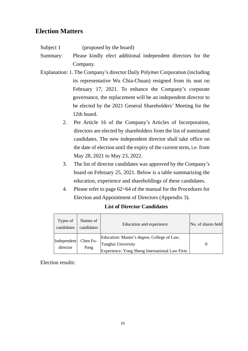## **Election Matters**

- Subject 1 (proposed by the board)
- Summary: Please kindly elect additional independent directors for the Company.
- Explanation: 1. The Company's director Daily Polymer Corporation (including its representative Wu Chia-Chuan) resigned from its seat on February 17, 2021. To enhance the Company's corporate governance, the replacement will be an independent director to be elected by the 2021 General Shareholders' Meeting for the 12th board.
	- 2. Per Article 16 of the Company's Articles of Incorporation, directors are elected by shareholders from the list of nominated candidates. The new independent director shall take office on the date of election until the expiry of the current term, i.e. from May 28, 2021 to May 23, 2022.
	- 3. The list of director candidates was approved by the Company's board on February 25, 2021. Below is a table summarizing the education, experience and shareholdings of these candidates.
	- 4. Please refer to page 62~64 of the manual for the Procedures for Election and Appointment of Directors (Appendix 3).

| Types of<br>candidates  | Names of<br>candidates | Education and experience                                                                                           | No. of shares held |
|-------------------------|------------------------|--------------------------------------------------------------------------------------------------------------------|--------------------|
| Independent<br>director | Chen Fu-<br>Pang       | Education: Master's degree, College of Law,<br>Tunghai University<br>Experience: Yong Sheng International Law Firm |                    |

## **List of Director Candidates**

Election results: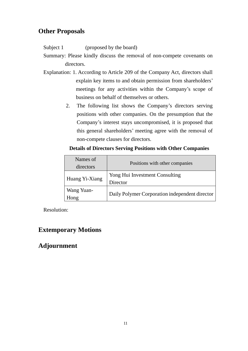# **Other Proposals**

Subject 1 (proposed by the board)

- Summary: Please kindly discuss the removal of non-compete covenants on directors.
- Explanation: 1. According to Article 209 of the Company Act, directors shall explain key items to and obtain permission from shareholders' meetings for any activities within the Company's scope of business on behalf of themselves or others.
	- 2. The following list shows the Company's directors serving positions with other companies. On the presumption that the Company's interest stays uncompromised, it is proposed that this general shareholders' meeting agree with the removal of non-compete clauses for directors.

## **Details of Directors Serving Positions with Other Companies**

| Names of<br>directors | Positions with other companies                 |
|-----------------------|------------------------------------------------|
| Huang Yi-Xiang        | Yong Hui Investment Consulting<br>Director     |
| Wang Yuan-<br>Hong    | Daily Polymer Corporation independent director |

Resolution:

# **Extemporary Motions**

# **Adjournment**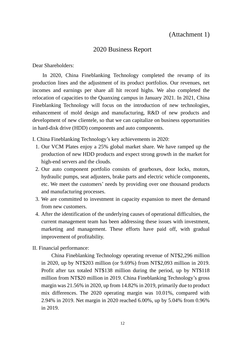## 2020 Business Report

Dear Shareholders:

In 2020, China Fineblanking Technology completed the revamp of its production lines and the adjustment of its product portfolios. Our revenues, net incomes and earnings per share all hit record highs. We also completed the relocation of capacities to the Quanxing campus in January 2021. In 2021, China Fineblanking Technology will focus on the introduction of new technologies, enhancement of mold design and manufacturing, R&D of new products and development of new clientele, so that we can capitalize on business opportunities in hard-disk drive (HDD) components and auto components.

I. China Fineblanking Technology's key achievements in 2020:

- 1. Our VCM Plates enjoy a 25% global market share. We have ramped up the production of new HDD products and expect strong growth in the market for high-end servers and the clouds.
- 2. Our auto component portfolio consists of gearboxes, door locks, motors, hydraulic pumps, seat adjusters, brake parts and electric vehicle components, etc. We meet the customers' needs by providing over one thousand products and manufacturing processes.
- 3. We are committed to investment in capacity expansion to meet the demand from new customers.
- 4. After the identification of the underlying causes of operational difficulties, the current management team has been addressing these issues with investment, marketing and management. These efforts have paid off, with gradual improvement of profitability.
- II. Financial performance:

China Fineblanking Technology operating revenue of NT\$2,296 million in 2020, up by NT\$203 million (or 9.69%) from NT\$2,093 million in 2019. Profit after tax totaled NT\$138 million during the period, up by NT\$118 million from NT\$20 million in 2019. China Fineblanking Technology's gross margin was 21.56% in 2020, up from 14.82% in 2019, primarily due to product mix differences. The 2020 operating margin was 10.01%, compared with 2.94% in 2019. Net margin in 2020 reached 6.00%, up by 5.04% from 0.96% in 2019.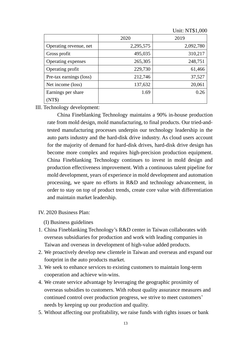Unit: NT\$1,000

|                         | 2020      | 2019      |
|-------------------------|-----------|-----------|
| Operating revenue, net  | 2,295,575 | 2,092,780 |
| Gross profit            | 495,035   | 310,217   |
| Operating expenses      | 265,305   | 248,751   |
| Operating profit        | 229,730   | 61,466    |
| Pre-tax earnings (loss) | 212,746   | 37,527    |
| Net income (loss)       | 137,632   | 20,061    |
| Earnings per share      | 1.69      | 0.26      |
|                         |           |           |

III. Technology development:

China Fineblanking Technology maintains a 90% in-house production rate from mold design, mold manufacturing, to final products. Our tried-andtested manufacturing processes underpin our technology leadership in the auto parts industry and the hard-disk drive industry. As cloud users account for the majority of demand for hard-disk drives, hard-disk drive design has become more complex and requires high-precision production equipment. China Fineblanking Technology continues to invest in mold design and production effectiveness improvement. With a continuous talent pipeline for mold development, years of experience in mold development and automation processing, we spare no efforts in R&D and technology advancement, in order to stay on top of product trends, create core value with differentiation and maintain market leadership.

IV. 2020 Business Plan:

(I) Business guidelines

- 1. China Fineblanking Technology's R&D center in Taiwan collaborates with overseas subsidiaries for production and work with leading companies in Taiwan and overseas in development of high-value added products.
- 2. We proactively develop new clientele in Taiwan and overseas and expand our footprint in the auto products market.
- 3. We seek to enhance services to existing customers to maintain long-term cooperation and achieve win-wins.
- 4. We create service advantage by leveraging the geographic proximity of overseas subsidies to customers. With robust quality assurance measures and continued control over production progress, we strive to meet customers' needs by keeping up our production and quality.
- 5. Without affecting our profitability, we raise funds with rights issues or bank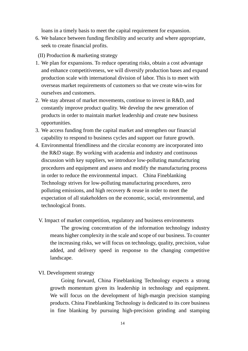loans in a timely basis to meet the capital requirement for expansion.

6. We balance between funding flexibility and security and where appropriate, seek to create financial profits.

(II) Production & marketing strategy

- 1. We plan for expansions. To reduce operating risks, obtain a cost advantage and enhance competitiveness, we will diversify production bases and expand production scale with international division of labor. This is to meet with overseas market requirements of customers so that we create win-wins for ourselves and customers.
- 2. We stay abreast of market movements, continue to invest in R&D, and constantly improve product quality. We develop the new generation of products in order to maintain market leadership and create new business opportunities.
- 3. We access funding from the capital market and strengthen our financial capability to respond to business cycles and support our future growth.
- 4. Environmental friendliness and the circular economy are incorporated into the R&D stage. By working with academia and industry and continuous discussion with key suppliers, we introduce low-polluting manufacturing procedures and equipment and assess and modify the manufacturing process in order to reduce the environmental impact. China Fineblanking Technology strives for low-polluting manufacturing procedures, zero polluting emissions, and high recovery & reuse in order to meet the expectation of all stakeholders on the economic, social, environmental, and technological fronts.
	- V. Impact of market competition, regulatory and business environments

The growing concentration of the information technology industry means higher complexity in the scale and scope of our business. To counter the increasing risks, we will focus on technology, quality, precision, value added, and delivery speed in response to the changing competitive landscape.

VI. Development strategy

Going forward, China Fineblanking Technology expects a strong growth momentum given its leadership in technology and equipment. We will focus on the development of high-margin precision stamping products. China Fineblanking Technology is dedicated to its core business in fine blanking by pursuing high-precision grinding and stamping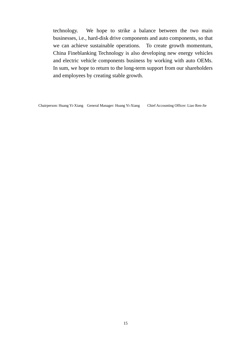technology. We hope to strike a balance between the two main businesses, i.e., hard-disk drive components and auto components, so that we can achieve sustainable operations. To create growth momentum, China Fineblanking Technology is also developing new energy vehicles and electric vehicle components business by working with auto OEMs. In sum, we hope to return to the long-term support from our shareholders and employees by creating stable growth.

Chairperson: Huang Yi-Xiang General Manager: Huang Yi-Xiang Chief Accounting Officer: Liao Ren-Jie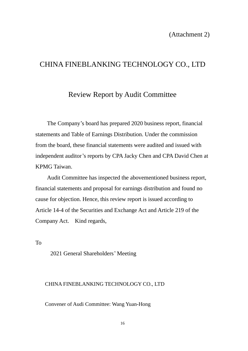## (Attachment 2)

# CHINA FINEBLANKING TECHNOLOGY CO., LTD

Review Report by Audit Committee

The Company's board has prepared 2020 business report, financial statements and Table of Earnings Distribution. Under the commission from the board, these financial statements were audited and issued with independent auditor's reports by CPA Jacky Chen and CPA David Chen at KPMG Taiwan.

Audit Committee has inspected the abovementioned business report, financial statements and proposal for earnings distribution and found no cause for objection. Hence, this review report is issued according to Article 14-4 of the Securities and Exchange Act and Article 219 of the Company Act. Kind regards,

To

2021 General Shareholders' Meeting

#### CHINA FINEBLANKING TECHNOLOGY CO., LTD

Convener of Audi Committee: Wang Yuan-Hong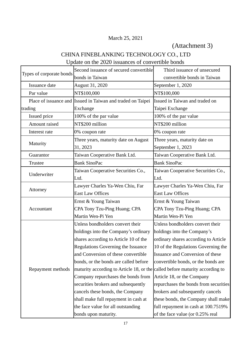## March 25, 2021

# (Attachment 3)

# CHINA FINEBLANKING TECHNOLOGY CO., LTD Update on the 2020 issuances of convertible bonds

|                          | Second issuance of secured convertible                                       | Third issuance of unsecured           |
|--------------------------|------------------------------------------------------------------------------|---------------------------------------|
| Types of corporate bonds | bonds in Taiwan                                                              | convertible bonds in Taiwan           |
| Issuance date            | August 31, 2020                                                              | September 1, 2020                     |
| Par value                | NT\$100,000                                                                  | NT\$100,000                           |
|                          | Place of issuance and Issued in Taiwan and traded on Taipei                  | Issued in Taiwan and traded on        |
| trading                  | Exchange                                                                     | Taipei Exchange                       |
| Issued price             | 100% of the par value                                                        | 100% of the par value                 |
| Amount raised            | NT\$200 million                                                              | NT\$200 million                       |
| Interest rate            | 0% coupon rate                                                               | 0% coupon rate                        |
|                          | Three years, maturity date on August                                         | Three years, maturity date on         |
| Maturity                 | 31, 2023                                                                     | September 1, 2023                     |
| Guarantor                | Taiwan Cooperative Bank Ltd.                                                 | Taiwan Cooperative Bank Ltd.          |
| Trustee                  | <b>Bank SinoPac</b>                                                          | <b>Bank SinoPac</b>                   |
| Underwriter              | Taiwan Cooperative Securities Co.,                                           | Taiwan Cooperative Securities Co.,    |
|                          | Ltd.                                                                         | Ltd.                                  |
|                          | Lawyer Charles Ya-Wen Chiu, Far                                              | Lawyer Charles Ya-Wen Chiu, Far       |
| Attorney                 | <b>East Law Offices</b>                                                      | <b>East Law Offices</b>               |
|                          | Ernst & Young Taiwan                                                         | Ernst & Young Taiwan                  |
| Accountant               | CPA Tony Tzu-Ping Huang; CPA                                                 | CPA Tony Tzu-Ping Huang; CPA          |
|                          | Martin Wen-Pi Yen                                                            | Martin Wen-Pi Yen                     |
|                          | Unless bondholders convert their                                             | Unless bondholders convert their      |
|                          | holdings into the Company's ordinary                                         | holdings into the Company's           |
|                          | shares according to Article 10 of the                                        | ordinary shares according to Article  |
|                          | Regulations Governing the Issuance                                           | 10 of the Regulations Governing the   |
|                          | and Conversion of these convertible                                          | Issuance and Conversion of these      |
|                          | bonds, or the bonds are called before                                        | convertible bonds, or the bonds are   |
| Repayment methods        | maturity according to Article 18, or the called before maturity according to |                                       |
|                          | Company repurchases the bonds from                                           | Article 18, or the Company            |
|                          | securities brokers and subsequently                                          | repurchases the bonds from securities |
|                          | cancels these bonds, the Company                                             | brokers and subsequently cancels      |
|                          | shall make full repayment in cash at                                         | these bonds, the Company shall make   |
|                          | the face value for all outstanding                                           | full repayment in cash at 100.7519%   |
|                          | bonds upon maturity.                                                         | of the face value (or 0.25% real      |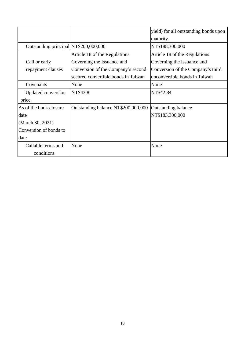|                                       |                                     | yield) for all outstanding bonds upon |
|---------------------------------------|-------------------------------------|---------------------------------------|
|                                       |                                     | maturity.                             |
| Outstanding principal NT\$200,000,000 |                                     | NT\$188,300,000                       |
|                                       | Article 18 of the Regulations       | Article 18 of the Regulations         |
| Call or early                         | Governing the Issuance and          | Governing the Issuance and            |
| repayment clauses                     | Conversion of the Company's second  | Conversion of the Company's third     |
|                                       | secured convertible bonds in Taiwan | unconvertible bonds in Taiwan         |
| Covenants                             | None                                | None                                  |
| <b>Updated conversion</b>             | NT\$43.8                            | NT\$42.84                             |
| price                                 |                                     |                                       |
| As of the book closure                | Outstanding balance NT\$200,000,000 | <b>Outstanding balance</b>            |
| date                                  |                                     | NT\$183,300,000                       |
| (March 30, 2021)                      |                                     |                                       |
| Conversion of bonds to                |                                     |                                       |
| date                                  |                                     |                                       |
| Callable terms and                    | None                                | None                                  |
| conditions                            |                                     |                                       |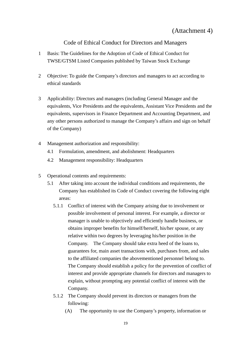# (Attachment 4)

## Code of Ethical Conduct for Directors and Managers

- 1 Basis: The Guidelines for the Adoption of Code of Ethical Conduct for TWSE/GTSM Listed Companies published by Taiwan Stock Exchange
- 2 Objective: To guide the Company's directors and managers to act according to ethical standards
- 3 Applicability: Directors and managers (including General Manager and the equivalents, Vice Presidents and the equivalents, Assistant Vice Presidents and the equivalents, supervisors in Finance Department and Accounting Department, and any other persons authorized to manage the Company's affairs and sign on behalf of the Company)
- 4 Management authorization and responsibility:
	- 4.1 Formulation, amendment, and abolishment: Headquarters
	- 4.2 Management responsibility: Headquarters
- 5 Operational contents and requirements:
	- 5.1 After taking into account the individual conditions and requirements, the Company has established its Code of Conduct covering the following eight areas:
		- 5.1.1 Conflict of interest with the Company arising due to involvement or possible involvement of personal interest. For example, a director or manager is unable to objectively and efficiently handle business, or obtains improper benefits for himself/herself, his/her spouse, or any relative within two degrees by leveraging his/her position in the Company. The Company should take extra heed of the loans to, guarantees for, main asset transactions with, purchases from, and sales to the affiliated companies the abovementioned personnel belong to. The Company should establish a policy for the prevention of conflict of interest and provide appropriate channels for directors and managers to explain, without prompting any potential conflict of interest with the Company.
		- 5.1.2 The Company should prevent its directors or managers from the following:
			- (A) The opportunity to use the Company's property, information or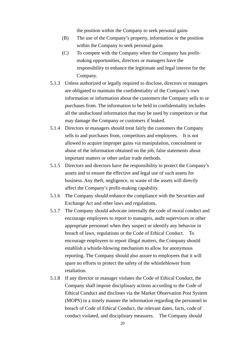the position within the Company to seek personal gains

- (B) The use of the Company's property, information or the position within the Company to seek personal gains
- (C) To compete with the Company when the Company has profitmaking opportunities, directors or managers have the responsibility to enhance the legitimate and legal interest for the Company.
- 5.1.3 Unless authorized or legally required to disclose, directors or managers are obligated to maintain the confidentiality of the Company's own information or information about the customers the Company sells to or purchases from. The information to be held in confidentiality includes all the undisclosed information that may be used by competitors or that may damage the Company or customers if leaked.
- 5.1.4 Directors or managers should treat fairly the customers the Company sells to and purchases from, competitors and employees. It is not allowed to acquire improper gains via manipulation, concealment or abuse of the information obtained on the job, false statements about important matters or other unfair trade methods.
- 5.1.5 Directors and directors have the responsibility to protect the Company's assets and to ensure the effective and legal use of such assets for business. Any theft, negligence, or waste of the assets will directly affect the Company's profit-making capability.
- 5.1.6 The Company should enhance the compliance with the Securities and Exchange Act and other laws and regulations.
- 5.1.7 The Company should advocate internally the code of moral conduct and encourage employees to report to managers, audit supervisors or other appropriate personnel when they suspect or identify any behavior in breach of laws, regulations or the Code of Ethical Conduct. To encourage employees to report illegal matters, the Company should establish a whistle-blowing mechanism to allow for anonymous reporting. The Company should also assure to employees that it will spare no efforts to protect the safety of the whistleblower from retaliation.
- 5.1.8 If any director or manager violates the Code of Ethical Conduct, the Company shall impose disciplinary actions according to the Code of Ethical Conduct and discloses via the Market Observation Post System (MOPS) in a timely manner the information regarding the personnel in breach of Code of Ethical Conduct, the relevant dates, facts, code of conduct violated, and disciplinary measures. The Company should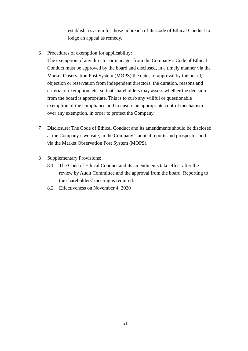establish a system for those in breach of its Code of Ethical Conduct to lodge an appeal as remedy.

6 Procedures of exemption for applicability:

The exemption of any director or manager from the Company's Code of Ethical Conduct must be approved by the board and disclosed, in a timely manner via the Market Observation Post System (MOPS) the dates of approval by the board, objection or reservation from independent directors, the duration, reasons and criteria of exemption, etc. so that shareholders may assess whether the decision from the board is appropriate. This is to curb any willful or questionable exemption of the compliance and to ensure an appropriate control mechanism over any exemption, in order to protect the Company.

- 7 Disclosure: The Code of Ethical Conduct and its amendments should be disclosed at the Company's website, in the Company's annual reports and prospectus and via the Market Observation Post System (MOPS).
- 8 Supplementary Provisions:
	- 8.1 The Code of Ethical Conduct and its amendments take effect after the review by Audit Committee and the approval from the board. Reporting to the shareholders' meeting is required.
	- 8.2 Effectiveness on November 4, 2020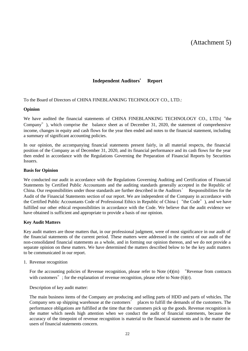(Attachment 5)

#### **Independent Auditors**' **Report**

To the Board of Directors of CHINA FINEBLANKING TECHNOLOGY CO., LTD.:

#### **Opinion**

We have audited the financial statements of CHINA FINEBLANKING TECHNOLOGY CO., LTD.("the Company"), which comprise the balance sheet as of December 31, 2020, the statement of comprehensive income, changes in equity and cash flows for the year then ended and notes to the financial statement, including a summary of significant accounting policies.

In our opinion, the accompanying financial statements present fairly, in all material respects, the financial position of the Company as of December 31, 2020, and its financial performance and its cash flows for the year then ended in accordance with the Regulations Governing the Preparation of Financial Reports by Securities Issuers.

#### **Basis for Opinion**

We conducted our audit in accordance with the Regulations Governing Auditing and Certification of Financial Statements by Certified Public Accountants and the auditing standards generally accepted in the Republic of China. Our responsibilities under those standards are further described in the Auditors' Responsibilities for the Audit of the Financial Statements section of our report. We are independent of the Company in accordance with the Certified Public Accountants Code of Professional Ethics in Republic of China ("the Code"), and we have fulfilled our other ethical responsibilities in accordance with the Code. We believe that the audit evidence we have obtained is sufficient and appropriate to provide a basis of our opinion.

#### **Key Audit Matters**

Key audit matters are those matters that, in our professional judgment, were of most significance in our audit of the financial statements of the current period. These matters were addressed in the context of our audit of the non-consolidated financial statements as a whole, and in forming our opinion thereon, and we do not provide a separate opinion on these matters. We have determined the matters described below to be the key audit matters to be communicated in our report.

1. Revenue recognition

For the accounting policies of Revenue recognition, please refer to Note (4)(m) "Revenue from contracts with customers"; for the explanation of revenue recognition, please refer to Note  $(6)(r)$ .

Description of key audit matter:

The main business items of the Company are producing and selling parts of HDD and parts of vehicles. The Company sets up shipping warehouse at the customers' places to fulfill the demands of the customers. The performance obligations are fulfilled at the time that the customers pick up the goods. Revenue recognition is the matter which needs high attention when we conduct the audit of financial statements, because the accuracy of the timepoint of revenue recognition is material to the financial statements and is the matter the users of financial statements concern.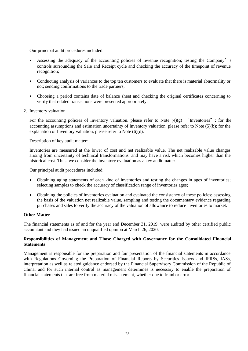Our principal audit procedures included:

- Assessing the adequacy of the accounting policies of revenue recognition; testing the Company's controls surrounding the Sale and Receipt cycle and checking the accuracy of the timepoint of revenue recognition;
- Conducting analysis of variances to the top ten customers to evaluate that there is material abnormality or not; sending confirmations to the trade partners;
- Choosing a period contains date of balance sheet and checking the original certificates concerning to verify that related transactions were presented appropriately.
- 2. Inventory valuation

For the accounting policies of Inventory valuation, please refer to Note  $(4)(g)$  "Inventories"; for the accounting assumptions and estimation uncertainty of Inventory valuation, please refer to Note (5)(b); for the explanation of Inventory valuation, please refer to Note (6)(d).

Description of key audit matter:

Inventories are measured at the lower of cost and net realizable value. The net realizable value changes arising from uncertainty of technical transformations, and may have a risk which becomes higher than the historical cost. Thus, we consider the inventory evaluation as a key audit matter.

Our principal audit procedures included:

- Obtaining aging statements of each kind of inventories and testing the changes in ages of inventories; selecting samples to check the accuracy of classification range of inventories ages;
- Obtaining the policies of inventories evaluation and evaluated the consistency of these policies; assessing the basis of the valuation net realizable value, sampling and testing the documentary evidence regarding purchases and sales to verify the accuracy of the valuation of allowance to reduce inventories to market.

#### **Other Matter**

The financial statements as of and for the year end December 31, 2019, were audited by other certified public accountant and they had issued an unqualified opinion at March 26, 2020.

#### **Responsibilities of Management and Those Charged with Governance for the Consolidated Financial Statements**

Management is responsible for the preparation and fair presentation of the financial statements in accordance with Regulations Governing the Preparation of Financial Reports by Securities Issuers and IFRSs, IASs, interpretation as well as related guidance endorsed by the Financial Supervisory Commission of the Republic of China, and for such internal control as management determines is necessary to enable the preparation of financial statements that are free from material misstatement, whether due to fraud or error.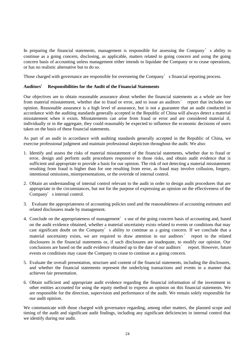In preparing the financial statements, management is responsible for assessing the Company's ability to continue as a going concern, disclosing, as applicable, matters related to going concern and using the going concern basis of accounting unless management either intends to liquidate the Company or to cease operations, or has no realistic alternative but to do so.

Those charged with governance are responsible for overseeing the Company's financial reporting process.

#### **Auditors**' **Responsibilities for the Audit of the Financial Statements**

Our objectives are to obtain reasonable assurance about whether the financial statements as a whole are free from material misstatement, whether due to fraud or error, and to issue an auditors' report that includes our opinion. Reasonable assurance is a high level of assurance, but is not a guarantee that an audit conducted in accordance with the auditing standards generally accepted in the Republic of China will always detect a material misstatement when it exists. Misstatements can arise from fraud or error and are considered material if, individually or in the aggregate, they could reasonably be expected to influence the economic decisions of users taken on the basis of these financial statements.

As part of an audit in accordance with auditing standards generally accepted in the Republic of China, we exercise professional judgment and maintain professional skepticism throughout the audit. We also:

- 1. Identify and assess the risks of material misstatement of the financial statements, whether due to fraud or error, design and perform audit procedures responsive to those risks, and obtain audit evidence that is sufficient and appropriate to provide a basis for our opinion. The risk of not detecting a material misstatement resulting from fraud is higher than for one resulting from error, as fraud may involve collusion, forgery, intentional omissions, misrepresentations, or the override of internal control.
- 2. Obtain an understanding of internal control relevant to the audit in order to design audit procedures that are appropriate in the circumstances, but not for the purpose of expressing an opinion on the effectiveness of the Company's internal control.
- 3. Evaluate the appropriateness of accounting policies used and the reasonableness of accounting estimates and related disclosures made by management.
- 4. Conclude on the appropriateness of management's use of the going concern basis of accounting and, based on the audit evidence obtained, whether a material uncertainty exists related to events or conditions that may cast significant doubt on the Company's ability to continue as a going concern. If we conclude that a material uncertainty exists, we are required to draw attention in our auditors' report to the related disclosures in the financial statements or, if such disclosures are inadequate, to modify our opinion. Our conclusions are based on the audit evidence obtained up to the date of our auditors' report. However, future events or conditions may cause the Company to cease to continue as a going concern.
- 5. Evaluate the overall presentation, structure and content of the financial statements, including the disclosures, and whether the financial statements represent the underlying transactions and events in a manner that achieves fair presentation.
- 6. Obtain sufficient and appropriate audit evidence regarding the financial information of the investment in other entities accounted for using the equity method to express an opinion on this financial statements. We are responsible for the direction, supervision and performance of the audit. We remain solely responsible for our audit opinion.

We communicate with those charged with governance regarding, among other matters, the planned scope and timing of the audit and significant audit findings, including any significant deficiencies in internal control that we identify during our audit.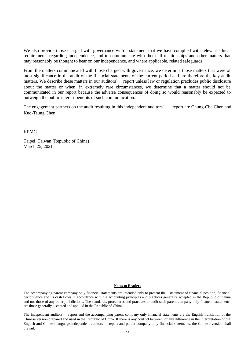We also provide those charged with governance with a statement that we have complied with relevant ethical requirements regarding independence, and to communicate with them all relationships and other matters that may reasonably be thought to bear on our independence, and where applicable, related safeguards.

From the matters communicated with those charged with governance, we determine those matters that were of most significance in the audit of the financial statements of the current period and are therefore the key audit matters. We describe these matters in our auditors' report unless law or regulation precludes public disclosure about the matter or when, in extremely rare circumstances, we determine that a matter should not be communicated in our report because the adverse consequences of doing so would reasonably be expected to outweigh the public interest benefits of such communication.

The engagement partners on the audit resulting in this independent auditors' report are Chung-Che Chen and Kuo-Tsung Chen.

KPMG

Taipei, Taiwan (Republic of China) March 25, 2021

#### **Notes to Readers**

The accompanying parent company only financial statements are intended only to present the statement of financial position, financial performance and its cash flows in accordance with the accounting principles and practices generally accepted in the Republic of China and not those of any other jurisdictions. The standards, procedures and practices to audit such parent company only financial statements are those generally accepted and applied in the Republic of China.

The independent auditors' report and the accompanying parent company only financial statements are the English translation of the Chinese version prepared and used in the Republic of China. If there is any conflict between, or any difference in the interpretation of the English and Chinese language independent auditors' report and parent company only financial statements, the Chinese version shall prevail.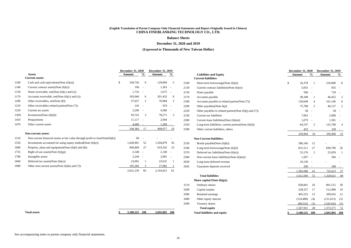#### **(English Translation of Parent Company Only Financial Statements and Report Originally Issued in Chinese) CHINA FINEBLANKING TECHNOLOGY CO., LTD.**

## **Balance Sheets**

## **December 31, 2020 and 2019**

## **(Expressed in Thousands of New Taiwan Dollar)**

| <b>December 31, 2020</b> |                | <b>December 31, 2019</b> |                |  |  |
|--------------------------|----------------|--------------------------|----------------|--|--|
| <b>Amount</b>            | $\frac{0}{0}$  | <b>Amount</b>            | $\frac{0}{0}$  |  |  |
|                          |                |                          |                |  |  |
| \$<br>16,378             | 1              | 210,000                  | 8              |  |  |
| 5,055                    |                | 835                      |                |  |  |
| 596                      |                | 729                      |                |  |  |
| 38,348                   | 1              | 46,452                   | $\overline{c}$ |  |  |
| 120,649                  | 4              | 161,146                  | 6              |  |  |
| 75,708                   | 2              | 46,137                   | 2              |  |  |
| 58                       |                | 58                       |                |  |  |
| 7,063                    |                | 2,000                    |                |  |  |
| 1,079                    |                | 1,591                    |                |  |  |
| 64,537                   | 2              | 125,708                  | 4              |  |  |
| 433                      |                | 350                      |                |  |  |
| 329,904                  | 10             | 595,006                  | 22             |  |  |
|                          |                |                          |                |  |  |
| 386,166                  | 12             |                          |                |  |  |
| 831,511                  | 27             | 699,790                  | 26             |  |  |
| 53,176                   | $\overline{c}$ | 25,059                   | 1              |  |  |
| 1,507                    |                | 566                      |                |  |  |
| 10,130                   |                |                          |                |  |  |
| 200                      |                | 200                      |                |  |  |
| 1,282,690                | 41             | 725,615                  | 27             |  |  |
| 1,612,594                | 51             | 1,320,621                | 49             |  |  |
|                          |                |                          |                |  |  |
| 838,841                  | 26             | 801,512                  | 30             |  |  |
| 528,557                  | 17             | 512,998                  | 19             |  |  |
| 405,553                  | 13             | 309,916                  | 12             |  |  |
| (124, 488)               | (4)            | (131, 613)               | (5)            |  |  |
| (80, 532)                | (3)            | (120, 542)               | (5)            |  |  |
| 1,567,931                | 49             | 1,372,271                | 51             |  |  |
| \$<br>3,180,525          | 100            | 2,692,892                | 100            |  |  |

|      |                                                                                 | <b>December 31, 2020</b> |                          | <b>December 31, 2019</b> |                         |      |                                                              | <b>December 31, 2020</b> |                  |                          | December 31, 2019 |      |
|------|---------------------------------------------------------------------------------|--------------------------|--------------------------|--------------------------|-------------------------|------|--------------------------------------------------------------|--------------------------|------------------|--------------------------|-------------------|------|
|      | <b>Assets</b>                                                                   | Amount                   | $\frac{6}{6}$            | Amount                   | $\frac{0}{0}$           |      | <b>Liabilities and Equity</b>                                | Amount                   |                  | $\frac{6}{6}$            | Amount            | $\%$ |
|      | <b>Current assets:</b>                                                          |                          |                          |                          |                         |      | <b>Current liabilities:</b>                                  |                          |                  |                          |                   |      |
| 1100 | Cash and cash equivalents (Note $(6)(a)$ )                                      | 194,750<br>-S            | - 6                      | 129,894                  | $5\overline{)}$         | 2100 | Short-term borrowings (Note $(6)(i)$ )                       | $\mathcal{S}$            | 16,378           |                          | 210,000           | -8   |
| 1140 | Current contract assets (Note $(6)(r)$ )                                        | 196                      | $\sim$                   | $1,363 -$                |                         | 2130 | Current contract liabilities (Note $(6)(r)$ )                |                          | $5,055 -$        |                          | 835 -             |      |
| 1150 | Notes receivable, net(Note $(6)(c)$ and $(r)$ )                                 | 1,732                    | $\sim$ $-$               | $1,675 -$                |                         | 2150 | Notes payable                                                |                          | 596 -            |                          | 729 -             |      |
| 1170 | Accounts receivable, net(Note $(6)(c)$ and $(r)$ )                              | 183,046                  | 6                        | 201,432                  | 8                       | 2170 | Accounts payable                                             |                          | 38,348           |                          | 46,452            | 2    |
| 1200 | Other receivables, net(Note (8))                                                | 57,657                   | 2                        | 76,984                   | $\overline{\mathbf{3}}$ | 2180 | Accounts payable to related parties(Note (7))                |                          | 120,649          | $\overline{4}$           | 161,146           | 6    |
| 1210 | Other receivables-related parties(Note (7))                                     | 142                      | $\sim$ $-$               | 919 -                    |                         | 2200 | Other payables (Note $6(j)$ )                                |                          | 75,708           | 2                        | 46,137            | 2    |
| 1220 | Current tax assets                                                              | $2,296 -$                |                          | $4,386 -$                |                         | 2220 | Other payables to related parties (Note $(6)(j)$ and $(7)$ ) |                          | 58 -             |                          | 58 -              |      |
| 130X | Inventories (Note $(6)(d)$ )                                                    | 93,741                   | $\overline{\mathbf{3}}$  | 78,271 3                 |                         | 2230 | Current tax liabilities                                      |                          | $7,063 -$        |                          | $2,000 -$         |      |
| 1410 | Prepayments                                                                     | $11,117 -$               |                          | $2,944 -$                |                         | 2280 | Current lease liabilities (Note $(6)(m)$ )                   |                          | $1,079 -$        |                          | $1,591 -$         |      |
| 1470 | Other current assets                                                            | 4,689                    | $\sim$ $-$               | $1,209 -$                |                         | 2320 | Long-term liabilities, current portion(Note (6)(1))          |                          | 64,537           | $\overline{\phantom{a}}$ | 125,708           |      |
|      |                                                                                 | 549,366                  | 17                       | 499,077                  | 19                      | 2399 | Other current liabilities, others                            |                          | 433 -            |                          | $350 -$           |      |
|      | <b>Non-current assets:</b>                                                      |                          |                          |                          |                         |      |                                                              |                          | 329,904          | 10                       | 595,006 22        |      |
| 1510 | Non-current financial assets at fair value through profit or $loss(Note(6)(k))$ | 60                       | $\overline{\phantom{a}}$ |                          |                         |      | <b>Non-Current liabilities:</b>                              |                          |                  |                          |                   |      |
| 1550 | Investments accounted for using equity method(Note $(6)(e)$ )                   | 1,649,901                | 52                       | 1,504,879                | - 56                    | 2530 | Bonds payable(Note $(6)(k)$ )                                |                          | 386,166          | 12                       |                   |      |
| 1600 | Property, plant and equipment(Note (6)(f) and (8))                              | 846,809                  | 27                       | 633,102                  | 23                      | 2540 | Long-term borrowings (Note $(6)(1)$ )                        |                          | 831,511 27       |                          | 699,790 26        |      |
| 1755 | Right-of-use assets (Note $(6)(g)$ )                                            | 2,548                    | $\overline{\phantom{a}}$ | $2,140 -$                |                         | 2570 | Deferred tax liabilities (Note $(6)(0)$ )                    |                          | 53,176 2         |                          | 25,059            |      |
| 1780 | Intangible assets                                                               | $3,244 -$                |                          | $2,081 -$                |                         | 2580 | Non-current lease liabilities (Note $(6)(m)$ )               |                          | $1,507 -$        |                          | 566 -             |      |
| 1840 | Deferred tax assets (Note $(6)(o)$ )                                            | 23,091                   | $\overline{1}$           | 23,631                   | - 1                     | 2630 | Long-term deferred revenue                                   |                          | $10,130 -$       |                          |                   |      |
| 1900 | Other non-current assets (Note $(6)(h)$ and $(7)$ )                             | 105,506                  | 3                        | 27,982                   |                         | 2645 | Guarantee deposits received                                  |                          | $200 -$          |                          | $200 -$           |      |
|      |                                                                                 | 2,631,159                | 83                       | 2,193,815 81             |                         |      |                                                              |                          | 1,282,690 41     |                          | $725,615$ 27      |      |
|      |                                                                                 |                          |                          |                          |                         |      | <b>Total liabilities</b>                                     |                          | 1,612,594        | 51                       | $1,320,621$ 49    |      |
|      |                                                                                 |                          |                          |                          |                         |      | Share capital (Note $(6)(p)$ ):                              |                          |                  |                          |                   |      |
|      |                                                                                 |                          |                          |                          |                         | 3110 | Ordinary shares                                              |                          | 838,841          | 26                       | 801,512 30        |      |
|      |                                                                                 |                          |                          |                          |                         | 3200 | Capital surplus                                              |                          | 528,557          | 17                       | 512,998 19        |      |
|      |                                                                                 |                          |                          |                          |                         | 3300 | Retained earnings                                            |                          | 405,553          | 13                       | 309,916 12        |      |
|      |                                                                                 |                          |                          |                          |                         | 3400 | Other equity interest                                        |                          | $(124, 488)$ (4) |                          | $(131,613)$ (5)   |      |
|      |                                                                                 |                          |                          |                          |                         | 3500 | Treasury shares                                              |                          | $(80,532)$ (3)   |                          | $(120, 542)$ (5)  |      |
|      |                                                                                 |                          |                          |                          |                         |      | <b>Total equity</b>                                          |                          | 1,567,931        | 49                       | 1,372,271 51      |      |
|      | <b>Total assets</b>                                                             | 3.180.525 100            |                          | 2,692,892 100            |                         |      | <b>Total liabilities and equity</b>                          |                          | 3,180,525 100    |                          | 2,692,892 100     |      |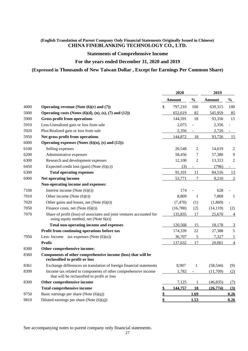#### **(English Translation of Parent Company Only Financial Statements Originally Issued in Chinese) CHINA FINEBLANKING TECHNOLOGY CO., LTD.**

#### **Statements of Comprehensive Income**

## **For the years ended December 31, 2020 and 2019**

## **(Expressed in Thousands of New Taiwan Dollar , Except for Earnings Per Common Share)**

|      |                                                                                                                  | 2020          | 2019           |               |                |
|------|------------------------------------------------------------------------------------------------------------------|---------------|----------------|---------------|----------------|
|      |                                                                                                                  | Amount        | $\frac{0}{0}$  | <b>Amount</b> | $\%$           |
| 4000 | Operating revenue (Note $(6)(r)$ and $(7)$ )                                                                     | \$<br>797,210 | 100            | 639,315       | 100            |
| 5000 | Operating costs (Notes $(6)(d)$ , $(n)$ , $(s)$ , $(7)$ and $(12)$ )                                             | 652,619       | 82             | 545,959       | 85             |
| 5900 | <b>Gross profit from operations</b>                                                                              | 144,591       | 18             | 93,356        | 15             |
| 5910 | Less: Unrealized gain or loss from sale                                                                          | 2,075         | ÷,             | 2,356         |                |
| 5920 | Plus: Realized gain or loss from sale                                                                            | 2,356         |                | 2,726         |                |
| 5950 | Net gross profit from operations                                                                                 | 144,872       | 18             | 93,726        | 15             |
| 6000 | Operating expenses (Notes $(6)(n)$ , $(s)$ and $(12)$ ):                                                         |               |                |               |                |
| 6100 | Selling expenses                                                                                                 | 20,548        | 2              | 14,619        | 2              |
| 6200 | Administrative expenses                                                                                          | 58,456        | 7              | 57,380        | 9              |
| 6300 | Research and development expenses                                                                                | 12,100        | $\mathfrak{2}$ | 13,313        | 2              |
| 6450 | Expected credit loss (gain) (Note $(6)(c)$ )                                                                     | (3)           |                | (796)         |                |
| 6300 | <b>Total operating expenses</b>                                                                                  | 91,101        | 11             | 84,516        | 13             |
| 6900 | Net operating income                                                                                             | 53,771        | $\overline{7}$ | 9,210         | $\overline{2}$ |
|      | Non-operating income and expenses:                                                                               |               |                |               |                |
| 7100 | Interest income (Note $(6)(t)$ )                                                                                 | 174           |                | 628           |                |
| 7010 | Other income (Note $(6)(t)$ )                                                                                    | 8,809         | 1              | 7,868         | -1             |
| 7020 | Other gains and losses, net (Note $(6)(t)$ )                                                                     | (7, 470)      | (1)            | (1,869)       |                |
| 7050 | Finance costs, net (Note $(6)(t)$ )                                                                              | (16,780)      | (2)            | (14, 119)     | (2)            |
| 7070 | Share of profit (loss) of associates and joint ventures accounted for<br>using equity method, net (Note $6(e)$ ) | 135,835       | 17             | 25,670        | $\overline{4}$ |
|      | Total non-operating income and expenses                                                                          | 120,568       | 15             | 18,178        | <u>3</u>       |
|      | Profit from continuing operations before tax                                                                     | 174,339       | 22             | 27,388        | 5              |
| 7950 | Less: Income<br>tax expenses (Note $(6)(o)$ )                                                                    | 36,707        | 5              | 7,327         | 1              |
|      | Profit                                                                                                           | 137,632       | 17             | 20,061        | $\overline{4}$ |
| 8300 | Other comprehensive income:                                                                                      |               |                |               |                |
| 8360 | Components of other comprehensive income (loss) that will be<br>reclassified to profit or loss                   |               |                |               |                |
| 8361 | Exchange differences on translation of foreign financial statements                                              | 8,907         | 1              | (58, 544)     | (9)            |
| 8399 | Income tax related to components of other comprehensive income<br>that will be reclassified to profit or loss    | 1,782         |                | (11,709)      | (2)            |
| 8300 | Other comprehensive income                                                                                       | 7,125         | 1              | (46, 835)     | (7)            |
|      | <b>Total comprehensive income</b>                                                                                | 144,757       | <u>18</u>      | (26,774)      | (3)            |
| 9750 | Basic earnings per share (Note $(6)(q)$ )                                                                        |               | 1.69           |               | 0.26           |
| 9810 | Diluted earnings per share (Note $(6)(q)$ )                                                                      |               | 1.53           |               | 0.26           |

See accompanying notes to parent company only financial statements.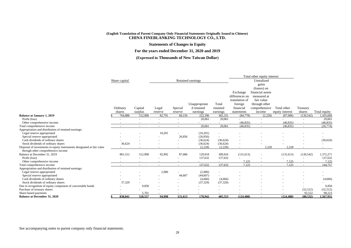#### **(English Translation of Parent Company Only Financial Statements Originally Issued in Chinese) CHINA FINEBLANKING TECHNOLOGY CO., LTD.**

**Statements of Changes in Equity** 

**For the years ended December 31, 2020 and 2019** 

**(Expressed in Thousands of New Taiwan Dollar)** 

|                                                                                                              |               |                   |         |         |               |                          |                | Total other equity interest |                 |            |              |
|--------------------------------------------------------------------------------------------------------------|---------------|-------------------|---------|---------|---------------|--------------------------|----------------|-----------------------------|-----------------|------------|--------------|
|                                                                                                              | Share capital | Retained earnings |         |         |               |                          |                | Unrealized                  |                 |            |              |
|                                                                                                              |               |                   |         |         |               |                          |                | gains                       |                 |            |              |
|                                                                                                              |               |                   |         |         |               |                          |                | (losses) on                 |                 |            |              |
|                                                                                                              |               |                   |         |         |               |                          | Exchange       | financial assets            |                 |            |              |
|                                                                                                              |               |                   |         |         |               |                          | differences on | measured at                 |                 |            |              |
|                                                                                                              |               |                   |         |         |               |                          | translation of | fair value                  |                 |            |              |
|                                                                                                              |               |                   |         |         | Unappropriate | Total                    | foreign        | through other               |                 |            |              |
|                                                                                                              | Ordinary      | Capital           |         | Special | d retained    | retained                 | financial      | comprehensive               | Total other     | Treasury   |              |
|                                                                                                              |               |                   | Legal   |         |               |                          |                |                             |                 |            |              |
|                                                                                                              | shares        | surplus           | reserve | reserve | earnings      | earnings                 | statements     | income                      | equity interest | shares     | Total equity |
| <b>Balance at January 1, 2019</b>                                                                            | 764,888       | 512,998           | 82,791  | 60.150  | 222,390       | 365,331                  | (84,778)       | (2,228)                     | (87,006)        | (120, 542) | 1,435,669    |
| Profit (loss)                                                                                                |               |                   |         |         | 20,061        | 20,061                   |                |                             |                 |            | 20,061       |
| Other comprehensive income                                                                                   |               |                   |         |         |               |                          | (46, 835)      |                             | (46,835)        |            | (46, 835)    |
| Total comprehensive income                                                                                   |               |                   |         |         | 20,061        | 20,061                   | (46, 835)      |                             | (46, 835)       |            | (26,774)     |
| Appropriation and distribution of retained earnings:                                                         |               |                   |         |         |               |                          |                |                             |                 |            |              |
| Legal reserve appropriated                                                                                   |               |                   | 10,201  |         | (10,201)      |                          |                |                             |                 |            |              |
| Special reserve appropriated                                                                                 |               |                   |         | 26,856  | (26, 856)     |                          |                |                             |                 |            |              |
| Cash dividends of ordinary shares                                                                            |               |                   |         |         | (36,624)      | (36, 624)                |                |                             |                 |            | (36, 624)    |
| Stock dividends of ordinary shares                                                                           | 36,624        |                   |         |         | (36, 624)     | (36,624)                 |                |                             |                 |            |              |
| Disposal of investments in equity instruments designated at fair value<br>through other comprehensive income |               |                   |         |         | (2,228)       | (2,228)                  |                | 2,228                       | 2.228           |            |              |
| Balance at December 31, 2019                                                                                 | 801,512       | 512,998           | 92,992  | 87,006  | 129,918       | 309,916                  | (131, 613)     |                             | (131, 613)      | (120, 542) | 1,372,271    |
| Profit (loss)                                                                                                |               |                   |         |         | 137,632       | 137,632                  |                |                             |                 |            | 137,632      |
| Other comprehensive income                                                                                   |               |                   |         |         |               |                          | 7,125          |                             | 7,125           |            | 7,125        |
| Total comprehensive income                                                                                   |               |                   |         |         | 137,632       | 137,632                  | 7,125          |                             | 7,125           | $\sim$     | 144,757      |
| Appropriation and distribution of retained earnings:                                                         |               |                   |         |         |               |                          |                |                             |                 |            |              |
| Legal reserve appropriated                                                                                   |               |                   | 2,006   |         | (2,006)       | $\overline{\phantom{a}}$ |                |                             |                 |            |              |
| Special reserve appropriated                                                                                 |               |                   |         | 44,607  | (44, 607)     |                          |                |                             |                 |            |              |
| Cash dividends of ordinary shares                                                                            |               |                   |         |         | (4,666)       | (4,666)                  |                |                             |                 |            | (4,666)      |
| Stock dividends of ordinary shares                                                                           | 37,329        |                   |         |         | (37, 329)     | (37, 329)                |                |                             |                 |            |              |
| Due to recognition of equity component of convertable bonds                                                  |               | 9,858             |         |         |               |                          |                |                             |                 |            | 9,858        |
| Purchase of treasury shares                                                                                  |               |                   |         |         |               |                          |                |                             |                 | (52, 512)  | (52, 512)    |
| Share-based payments                                                                                         |               | 5.701             |         |         |               |                          |                |                             |                 | 92.522     | 98,223       |
| <b>Balance at December 31, 2020</b>                                                                          | 838.841       | 528,557           | 94.998  | 131.613 | 178,942       | 405.553                  | (124.488)      |                             | (124.488)       | (80.532)   | 1.567.931    |
|                                                                                                              |               |                   |         |         |               |                          |                |                             |                 |            |              |

See accompanying notes to parent company only financial statements.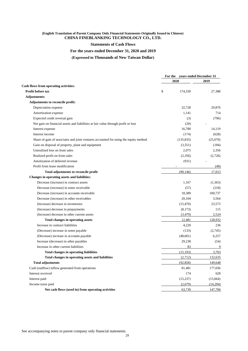#### **(English Translation of Parent Company Only Financial Statements Originally Issued in Chinese) CHINA FINEBLANKING TECHNOLOGY CO., LTD.**

#### **Statements of Cash Flows**

#### **For the years ended December 31, 2020 and 2019**

## **(Expressed in Thousands of New Taiwan Dollar)**

| 2020<br>2019<br>Cash flows from operating activities:<br>Profit before tax<br>\$<br>174,339<br><b>Adjustments:</b><br>Adjustments to reconcile profit:<br>Depreciation expense<br>32,728<br>Amortization expense<br>1,141<br>Expected credit reversal gain<br>(3)<br>Net gain on financial assets and liabilities at fair value through profit or loss<br>(20)<br>16,780<br>Interest expense<br>Interest income<br>(174)<br>(135, 835)<br>Share of gain of associates and joint ventures accounted for using the equity method<br>Gain on disposal of property, plant and equipment<br>(3,551)<br>Unrealized loss on from sales<br>2,075<br>Realized profit on from sales<br>(2,356)<br>Amotization of deferred revenue<br>(931)<br>Profit from lease modification<br>Total adjustments to reconcile profit<br>(90, 146)<br>Changes in operating assets and liabilities:<br>Decrease (increase) in contract assets<br>1,167<br>Decrease (increase) in notes receivable<br>(57)<br>Decrease (increase) in accounts receivable<br>18,389<br>Decrease (increase) in other receivables<br>20,104<br>(Increase) decrease in inventories<br>(15, 470)<br>(Increase) decrease in prepayments<br>(8,173)<br>(Increase) decrease in other current assets<br>(3, 479)<br>Total changes in operating assets<br>12,481<br>4,220<br>Increase in contract liabilities<br>(133)<br>(Decrease) increase in notes payable<br>(Decrease) increase in accounts payable<br>(48, 601)<br>Increase (decrease) in other payables<br>29,238<br>Increase in other current liabilities<br>83<br><b>Total changes in operating liabilities</b><br>(15, 193)<br>Total changes in operating assets and liabilities<br>(2,712)<br><b>Total adjustments</b><br>(92, 858)<br>Cash (outflow) inflow generated from operations<br>81,481<br>Interest received<br>174<br>Interest paid<br>(15, 237)<br>Income taxes paid<br>(2,679)<br>Net cash flows (used in) from operating activities<br>63,739 | For the years ended December 31 |          |
|------------------------------------------------------------------------------------------------------------------------------------------------------------------------------------------------------------------------------------------------------------------------------------------------------------------------------------------------------------------------------------------------------------------------------------------------------------------------------------------------------------------------------------------------------------------------------------------------------------------------------------------------------------------------------------------------------------------------------------------------------------------------------------------------------------------------------------------------------------------------------------------------------------------------------------------------------------------------------------------------------------------------------------------------------------------------------------------------------------------------------------------------------------------------------------------------------------------------------------------------------------------------------------------------------------------------------------------------------------------------------------------------------------------------------------------------------------------------------------------------------------------------------------------------------------------------------------------------------------------------------------------------------------------------------------------------------------------------------------------------------------------------------------------------------------------------------------------------------------------------------------------------------------------------------------------------------------------|---------------------------------|----------|
|                                                                                                                                                                                                                                                                                                                                                                                                                                                                                                                                                                                                                                                                                                                                                                                                                                                                                                                                                                                                                                                                                                                                                                                                                                                                                                                                                                                                                                                                                                                                                                                                                                                                                                                                                                                                                                                                                                                                                                  |                                 |          |
|                                                                                                                                                                                                                                                                                                                                                                                                                                                                                                                                                                                                                                                                                                                                                                                                                                                                                                                                                                                                                                                                                                                                                                                                                                                                                                                                                                                                                                                                                                                                                                                                                                                                                                                                                                                                                                                                                                                                                                  |                                 |          |
|                                                                                                                                                                                                                                                                                                                                                                                                                                                                                                                                                                                                                                                                                                                                                                                                                                                                                                                                                                                                                                                                                                                                                                                                                                                                                                                                                                                                                                                                                                                                                                                                                                                                                                                                                                                                                                                                                                                                                                  |                                 | 27,388   |
|                                                                                                                                                                                                                                                                                                                                                                                                                                                                                                                                                                                                                                                                                                                                                                                                                                                                                                                                                                                                                                                                                                                                                                                                                                                                                                                                                                                                                                                                                                                                                                                                                                                                                                                                                                                                                                                                                                                                                                  |                                 |          |
|                                                                                                                                                                                                                                                                                                                                                                                                                                                                                                                                                                                                                                                                                                                                                                                                                                                                                                                                                                                                                                                                                                                                                                                                                                                                                                                                                                                                                                                                                                                                                                                                                                                                                                                                                                                                                                                                                                                                                                  |                                 |          |
|                                                                                                                                                                                                                                                                                                                                                                                                                                                                                                                                                                                                                                                                                                                                                                                                                                                                                                                                                                                                                                                                                                                                                                                                                                                                                                                                                                                                                                                                                                                                                                                                                                                                                                                                                                                                                                                                                                                                                                  |                                 | 29,876   |
|                                                                                                                                                                                                                                                                                                                                                                                                                                                                                                                                                                                                                                                                                                                                                                                                                                                                                                                                                                                                                                                                                                                                                                                                                                                                                                                                                                                                                                                                                                                                                                                                                                                                                                                                                                                                                                                                                                                                                                  |                                 | 714      |
|                                                                                                                                                                                                                                                                                                                                                                                                                                                                                                                                                                                                                                                                                                                                                                                                                                                                                                                                                                                                                                                                                                                                                                                                                                                                                                                                                                                                                                                                                                                                                                                                                                                                                                                                                                                                                                                                                                                                                                  |                                 | (796)    |
|                                                                                                                                                                                                                                                                                                                                                                                                                                                                                                                                                                                                                                                                                                                                                                                                                                                                                                                                                                                                                                                                                                                                                                                                                                                                                                                                                                                                                                                                                                                                                                                                                                                                                                                                                                                                                                                                                                                                                                  |                                 |          |
|                                                                                                                                                                                                                                                                                                                                                                                                                                                                                                                                                                                                                                                                                                                                                                                                                                                                                                                                                                                                                                                                                                                                                                                                                                                                                                                                                                                                                                                                                                                                                                                                                                                                                                                                                                                                                                                                                                                                                                  |                                 | 14,119   |
|                                                                                                                                                                                                                                                                                                                                                                                                                                                                                                                                                                                                                                                                                                                                                                                                                                                                                                                                                                                                                                                                                                                                                                                                                                                                                                                                                                                                                                                                                                                                                                                                                                                                                                                                                                                                                                                                                                                                                                  |                                 | (628)    |
|                                                                                                                                                                                                                                                                                                                                                                                                                                                                                                                                                                                                                                                                                                                                                                                                                                                                                                                                                                                                                                                                                                                                                                                                                                                                                                                                                                                                                                                                                                                                                                                                                                                                                                                                                                                                                                                                                                                                                                  |                                 | (25,670) |
|                                                                                                                                                                                                                                                                                                                                                                                                                                                                                                                                                                                                                                                                                                                                                                                                                                                                                                                                                                                                                                                                                                                                                                                                                                                                                                                                                                                                                                                                                                                                                                                                                                                                                                                                                                                                                                                                                                                                                                  |                                 | (184)    |
|                                                                                                                                                                                                                                                                                                                                                                                                                                                                                                                                                                                                                                                                                                                                                                                                                                                                                                                                                                                                                                                                                                                                                                                                                                                                                                                                                                                                                                                                                                                                                                                                                                                                                                                                                                                                                                                                                                                                                                  |                                 | 2,356    |
|                                                                                                                                                                                                                                                                                                                                                                                                                                                                                                                                                                                                                                                                                                                                                                                                                                                                                                                                                                                                                                                                                                                                                                                                                                                                                                                                                                                                                                                                                                                                                                                                                                                                                                                                                                                                                                                                                                                                                                  |                                 | (2,726)  |
|                                                                                                                                                                                                                                                                                                                                                                                                                                                                                                                                                                                                                                                                                                                                                                                                                                                                                                                                                                                                                                                                                                                                                                                                                                                                                                                                                                                                                                                                                                                                                                                                                                                                                                                                                                                                                                                                                                                                                                  |                                 |          |
|                                                                                                                                                                                                                                                                                                                                                                                                                                                                                                                                                                                                                                                                                                                                                                                                                                                                                                                                                                                                                                                                                                                                                                                                                                                                                                                                                                                                                                                                                                                                                                                                                                                                                                                                                                                                                                                                                                                                                                  |                                 | (48)     |
|                                                                                                                                                                                                                                                                                                                                                                                                                                                                                                                                                                                                                                                                                                                                                                                                                                                                                                                                                                                                                                                                                                                                                                                                                                                                                                                                                                                                                                                                                                                                                                                                                                                                                                                                                                                                                                                                                                                                                                  |                                 | 17,013   |
|                                                                                                                                                                                                                                                                                                                                                                                                                                                                                                                                                                                                                                                                                                                                                                                                                                                                                                                                                                                                                                                                                                                                                                                                                                                                                                                                                                                                                                                                                                                                                                                                                                                                                                                                                                                                                                                                                                                                                                  |                                 |          |
|                                                                                                                                                                                                                                                                                                                                                                                                                                                                                                                                                                                                                                                                                                                                                                                                                                                                                                                                                                                                                                                                                                                                                                                                                                                                                                                                                                                                                                                                                                                                                                                                                                                                                                                                                                                                                                                                                                                                                                  |                                 | (1,363)  |
|                                                                                                                                                                                                                                                                                                                                                                                                                                                                                                                                                                                                                                                                                                                                                                                                                                                                                                                                                                                                                                                                                                                                                                                                                                                                                                                                                                                                                                                                                                                                                                                                                                                                                                                                                                                                                                                                                                                                                                  |                                 | (218)    |
|                                                                                                                                                                                                                                                                                                                                                                                                                                                                                                                                                                                                                                                                                                                                                                                                                                                                                                                                                                                                                                                                                                                                                                                                                                                                                                                                                                                                                                                                                                                                                                                                                                                                                                                                                                                                                                                                                                                                                                  |                                 | 100,737  |
|                                                                                                                                                                                                                                                                                                                                                                                                                                                                                                                                                                                                                                                                                                                                                                                                                                                                                                                                                                                                                                                                                                                                                                                                                                                                                                                                                                                                                                                                                                                                                                                                                                                                                                                                                                                                                                                                                                                                                                  |                                 | 3,564    |
|                                                                                                                                                                                                                                                                                                                                                                                                                                                                                                                                                                                                                                                                                                                                                                                                                                                                                                                                                                                                                                                                                                                                                                                                                                                                                                                                                                                                                                                                                                                                                                                                                                                                                                                                                                                                                                                                                                                                                                  |                                 | 23,573   |
|                                                                                                                                                                                                                                                                                                                                                                                                                                                                                                                                                                                                                                                                                                                                                                                                                                                                                                                                                                                                                                                                                                                                                                                                                                                                                                                                                                                                                                                                                                                                                                                                                                                                                                                                                                                                                                                                                                                                                                  |                                 | 115      |
|                                                                                                                                                                                                                                                                                                                                                                                                                                                                                                                                                                                                                                                                                                                                                                                                                                                                                                                                                                                                                                                                                                                                                                                                                                                                                                                                                                                                                                                                                                                                                                                                                                                                                                                                                                                                                                                                                                                                                                  |                                 | 2,524    |
|                                                                                                                                                                                                                                                                                                                                                                                                                                                                                                                                                                                                                                                                                                                                                                                                                                                                                                                                                                                                                                                                                                                                                                                                                                                                                                                                                                                                                                                                                                                                                                                                                                                                                                                                                                                                                                                                                                                                                                  |                                 | 128,932  |
|                                                                                                                                                                                                                                                                                                                                                                                                                                                                                                                                                                                                                                                                                                                                                                                                                                                                                                                                                                                                                                                                                                                                                                                                                                                                                                                                                                                                                                                                                                                                                                                                                                                                                                                                                                                                                                                                                                                                                                  |                                 | 236      |
|                                                                                                                                                                                                                                                                                                                                                                                                                                                                                                                                                                                                                                                                                                                                                                                                                                                                                                                                                                                                                                                                                                                                                                                                                                                                                                                                                                                                                                                                                                                                                                                                                                                                                                                                                                                                                                                                                                                                                                  |                                 | (2,745)  |
|                                                                                                                                                                                                                                                                                                                                                                                                                                                                                                                                                                                                                                                                                                                                                                                                                                                                                                                                                                                                                                                                                                                                                                                                                                                                                                                                                                                                                                                                                                                                                                                                                                                                                                                                                                                                                                                                                                                                                                  |                                 | 6,257    |
|                                                                                                                                                                                                                                                                                                                                                                                                                                                                                                                                                                                                                                                                                                                                                                                                                                                                                                                                                                                                                                                                                                                                                                                                                                                                                                                                                                                                                                                                                                                                                                                                                                                                                                                                                                                                                                                                                                                                                                  |                                 | (54)     |
|                                                                                                                                                                                                                                                                                                                                                                                                                                                                                                                                                                                                                                                                                                                                                                                                                                                                                                                                                                                                                                                                                                                                                                                                                                                                                                                                                                                                                                                                                                                                                                                                                                                                                                                                                                                                                                                                                                                                                                  |                                 | 9        |
|                                                                                                                                                                                                                                                                                                                                                                                                                                                                                                                                                                                                                                                                                                                                                                                                                                                                                                                                                                                                                                                                                                                                                                                                                                                                                                                                                                                                                                                                                                                                                                                                                                                                                                                                                                                                                                                                                                                                                                  |                                 | 3,703    |
|                                                                                                                                                                                                                                                                                                                                                                                                                                                                                                                                                                                                                                                                                                                                                                                                                                                                                                                                                                                                                                                                                                                                                                                                                                                                                                                                                                                                                                                                                                                                                                                                                                                                                                                                                                                                                                                                                                                                                                  |                                 | 132,635  |
|                                                                                                                                                                                                                                                                                                                                                                                                                                                                                                                                                                                                                                                                                                                                                                                                                                                                                                                                                                                                                                                                                                                                                                                                                                                                                                                                                                                                                                                                                                                                                                                                                                                                                                                                                                                                                                                                                                                                                                  |                                 | 149,648  |
|                                                                                                                                                                                                                                                                                                                                                                                                                                                                                                                                                                                                                                                                                                                                                                                                                                                                                                                                                                                                                                                                                                                                                                                                                                                                                                                                                                                                                                                                                                                                                                                                                                                                                                                                                                                                                                                                                                                                                                  |                                 | 177,036  |
|                                                                                                                                                                                                                                                                                                                                                                                                                                                                                                                                                                                                                                                                                                                                                                                                                                                                                                                                                                                                                                                                                                                                                                                                                                                                                                                                                                                                                                                                                                                                                                                                                                                                                                                                                                                                                                                                                                                                                                  |                                 | 628      |
|                                                                                                                                                                                                                                                                                                                                                                                                                                                                                                                                                                                                                                                                                                                                                                                                                                                                                                                                                                                                                                                                                                                                                                                                                                                                                                                                                                                                                                                                                                                                                                                                                                                                                                                                                                                                                                                                                                                                                                  |                                 | (15,664) |
|                                                                                                                                                                                                                                                                                                                                                                                                                                                                                                                                                                                                                                                                                                                                                                                                                                                                                                                                                                                                                                                                                                                                                                                                                                                                                                                                                                                                                                                                                                                                                                                                                                                                                                                                                                                                                                                                                                                                                                  |                                 | (14,294) |
|                                                                                                                                                                                                                                                                                                                                                                                                                                                                                                                                                                                                                                                                                                                                                                                                                                                                                                                                                                                                                                                                                                                                                                                                                                                                                                                                                                                                                                                                                                                                                                                                                                                                                                                                                                                                                                                                                                                                                                  |                                 | 147,706  |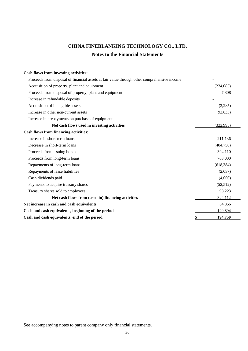## **CHINA FINEBLANKING TECHNOLOGY CO., LTD.**

#### **Notes to the Financial Statements**

#### **Cash flows from investing activities:**

| Proceeds from disposal of financial assets at fair value through other comprehensive income |               |
|---------------------------------------------------------------------------------------------|---------------|
| Acquisition of property, plant and equipment                                                | (234, 685)    |
| Proceeds from disposal of property, plant and equipment                                     | 7,808         |
| Increase in refundable deposits                                                             |               |
| Acquisition of intangible assets                                                            | (2,285)       |
| Increase in other non-current assets                                                        | (93, 833)     |
| Increase in prepayments on purchase of equipment                                            |               |
| Net cash flows used in investing activities                                                 | (322, 995)    |
| <b>Cash flows from financing activities:</b>                                                |               |
| Increase in short-term loans                                                                | 211,136       |
| Decrease in short-term loans                                                                | (404,758)     |
| Proceeds from issuing bonds                                                                 | 394,110       |
| Proceeds from long-term loans                                                               | 703,000       |
| Repayments of long-term loans                                                               | (618, 384)    |
| Repayments of lease liabilities                                                             | (2,037)       |
| Cash dividends paid                                                                         | (4,666)       |
| Payments to acquire treasury shares                                                         | (52, 512)     |
| Treasury shares sold to employees                                                           | 98,223        |
| Net cash flows from (used in) financing activities                                          | 324,112       |
| Net increase in cash and cash equivalents                                                   | 64,856        |
| Cash and cash equivalents, beginning of the period                                          | 129,894       |
| Cash and cash equivalents, end of the period                                                | 194,750<br>\$ |

See accompanying notes to parent company only financial statements.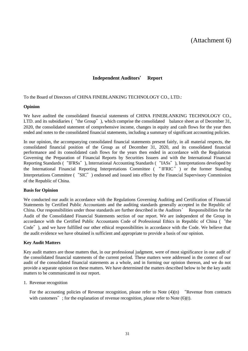(Attachment 6)

#### **Independent Auditors**' **Report**

To the Board of Directors of CHINA FINEBLANKING TECHNOLOGY CO., LTD.:

#### **Opinion**

We have audited the consolidated financial statements of CHINA FINEBLANKING TECHNOLOGY CO., LTD. and its subsidiaries ("the Group"), which comprise the consolidated balance sheet as of December 31, 2020, the consolidated statement of comprehensive income, changes in equity and cash flows for the year then ended and notes to the consolidated financial statements, including a summary of significant accounting policies.

In our opinion, the accompanying consolidated financial statements present fairly, in all material respects, the consolidated financial position of the Group as of December 31, 2020, and its consolidated financial performance and its consolidated cash flows for the years then ended in accordance with the Regulations Governing the Preparation of Financial Reports by Securities Issuers and with the International Financial Reporting Standards ("IFRSs"), International Accounting Standards ("IASs"), Interpretations developed by the International Financial Reporting Interpretations Committee ( " IFRIC " ) or the former Standing Interpretations Committee ("SIC") endorsed and issued into effect by the Financial Supervisory Commission of the Republic of China.

#### **Basis for Opinion**

We conducted our audit in accordance with the Regulations Governing Auditing and Certification of Financial Statements by Certified Public Accountants and the auditing standards generally accepted in the Republic of China. Our responsibilities under those standards are further described in the Auditors' Responsibilities for the Audit of the Consolidated Financial Statements section of our report. We are independent of the Group in accordance with the Certified Public Accountants Code of Professional Ethics in Republic of China ("the Code"), and we have fulfilled our other ethical responsibilities in accordance with the Code. We believe that the audit evidence we have obtained is sufficient and appropriate to provide a basis of our opinion.

#### **Key Audit Matters**

Key audit matters are those matters that, in our professional judgment, were of most significance in our audit of the consolidated financial statements of the current period. These matters were addressed in the context of our audit of the consolidated financial statements as a whole, and in forming our opinion thereon, and we do not provide a separate opinion on these matters. We have determined the matters described below to be the key audit matters to be communicated in our report.

#### 1. Revenue recognition

For the accounting policies of Revenue recognition, please refer to Note  $(4)(n)$  "Revenue from contracts" with customers"; for the explanation of revenue recognition, please refer to Note  $(6)(t)$ .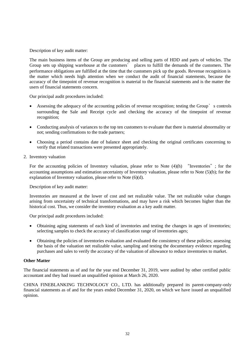Description of key audit matter:

The main business items of the Group are producing and selling parts of HDD and parts of vehicles. The Group sets up shipping warehouse at the customers' places to fulfill the demands of the customers. The performance obligations are fulfilled at the time that the customers pick up the goods. Revenue recognition is the matter which needs high attention when we conduct the audit of financial statements, because the accuracy of the timepoint of revenue recognition is material to the financial statements and is the matter the users of financial statements concern.

Our principal audit procedures included:

- Assessing the adequacy of the accounting policies of revenue recognition; testing the Group's controls surrounding the Sale and Receipt cycle and checking the accuracy of the timepoint of revenue recognition;
- Conducting analysis of variances to the top ten customers to evaluate that there is material abnormality or not; sending confirmations to the trade partners;
- Choosing a period contains date of balance sheet and checking the original certificates concerning to verify that related transactions were presented appropriately.
- 2. Inventory valuation

For the accounting policies of Inventory valuation, please refer to Note  $(4)(h)$  "Inventories"; for the accounting assumptions and estimation uncertainty of Inventory valuation, please refer to Note (5)(b); for the explanation of Inventory valuation, please refer to Note (6)(d).

Description of key audit matter:

Inventories are measured at the lower of cost and net realizable value. The net realizable value changes arising from uncertainty of technical transformations, and may have a risk which becomes higher than the historical cost. Thus, we consider the inventory evaluation as a key audit matter.

Our principal audit procedures included:

- Obtaining aging statements of each kind of inventories and testing the changes in ages of inventories; selecting samples to check the accuracy of classification range of inventories ages;
- Obtaining the policies of inventories evaluation and evaluated the consistency of these policies; assessing the basis of the valuation net realizable value, sampling and testing the documentary evidence regarding purchases and sales to verify the accuracy of the valuation of allowance to reduce inventories to market.

#### **Other Matter**

The financial statements as of and for the year end December 31, 2019, were audited by other certified public accountant and they had issued an unqualified opinion at March 26, 2020.

CHINA FINEBLANKING TECHNOLOGY CO., LTD. has additionally prepared its parent-company-only financial statements as of and for the years ended December 31, 2020, on which we have issued an unqualified opinion.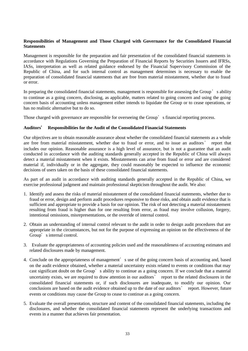#### **Responsibilities of Management and Those Charged with Governance for the Consolidated Financial Statements**

Management is responsible for the preparation and fair presentation of the consolidated financial statements in accordance with Regulations Governing the Preparation of Financial Reports by Securities Issuers and IFRSs, IASs, interpretation as well as related guidance endorsed by the Financial Supervisory Commission of the Republic of China, and for such internal control as management determines is necessary to enable the preparation of consolidated financial statements that are free from material misstatement, whether due to fraud or error.

In preparing the consolidated financial statements, management is responsible for assessing the Group 's ability to continue as a going concern, disclosing, as applicable, matters related to going concern and using the going concern basis of accounting unless management either intends to liquidate the Group or to cease operations, or has no realistic alternative but to do so.

Those charged with governance are responsible for overseeing the Group's financial reporting process.

#### **Auditors**' **Responsibilities for the Audit of the Consolidated Financial Statements**

Our objectives are to obtain reasonable assurance about whether the consolidated financial statements as a whole are free from material misstatement, whether due to fraud or error, and to issue an auditors ' report that includes our opinion. Reasonable assurance is a high level of assurance, but is not a guarantee that an audit conducted in accordance with the auditing standards generally accepted in the Republic of China will always detect a material misstatement when it exists. Misstatements can arise from fraud or error and are considered material if, individually or in the aggregate, they could reasonably be expected to influence the economic decisions of users taken on the basis of these consolidated financial statements.

As part of an audit in accordance with auditing standards generally accepted in the Republic of China, we exercise professional judgment and maintain professional skepticism throughout the audit. We also:

- 1. Identify and assess the risks of material misstatement of the consolidated financial statements, whether due to fraud or error, design and perform audit procedures responsive to those risks, and obtain audit evidence that is sufficient and appropriate to provide a basis for our opinion. The risk of not detecting a material misstatement resulting from fraud is higher than for one resulting from error, as fraud may involve collusion, forgery, intentional omissions, misrepresentations, or the override of internal control.
- 2. Obtain an understanding of internal control relevant to the audit in order to design audit procedures that are appropriate in the circumstances, but not for the purpose of expressing an opinion on the effectiveness of the Group's internal control.
- 3. Evaluate the appropriateness of accounting policies used and the reasonableness of accounting estimates and related disclosures made by management.
- 4. Conclude on the appropriateness of management's use of the going concern basis of accounting and, based on the audit evidence obtained, whether a material uncertainty exists related to events or conditions that may cast significant doubt on the Group's ability to continue as a going concern. If we conclude that a material uncertainty exists, we are required to draw attention in our auditors' report to the related disclosures in the consolidated financial statements or, if such disclosures are inadequate, to modify our opinion. Our conclusions are based on the audit evidence obtained up to the date of our auditors' report. However, future events or conditions may cause the Group to cease to continue as a going concern.
- 5. Evaluate the overall presentation, structure and content of the consolidated financial statements, including the disclosures, and whether the consolidated financial statements represent the underlying transactions and events in a manner that achieves fair presentation.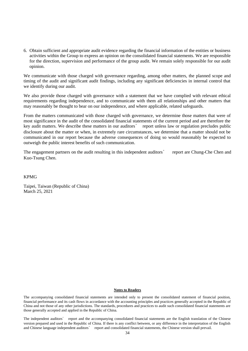6. Obtain sufficient and appropriate audit evidence regarding the financial information of the entities or business activities within the Group to express an opinion on the consolidated financial statements. We are responsible for the direction, supervision and performance of the group audit. We remain solely responsible for our audit opinion.

We communicate with those charged with governance regarding, among other matters, the planned scope and timing of the audit and significant audit findings, including any significant deficiencies in internal control that we identify during our audit.

We also provide those charged with governance with a statement that we have complied with relevant ethical requirements regarding independence, and to communicate with them all relationships and other matters that may reasonably be thought to bear on our independence, and where applicable, related safeguards.

From the matters communicated with those charged with governance, we determine those matters that were of most significance in the audit of the consolidated financial statements of the current period and are therefore the key audit matters. We describe these matters in our auditors' report unless law or regulation precludes public disclosure about the matter or when, in extremely rare circumstances, we determine that a matter should not be communicated in our report because the adverse consequences of doing so would reasonably be expected to outweigh the public interest benefits of such communication.

The engagement partners on the audit resulting in this independent auditors' report are Chung-Che Chen and Kuo-Tsung Chen.

KPMG

Taipei, Taiwan (Republic of China) March 25, 2021

#### **Notes to Readers**

The accompanying consolidated financial statements are intended only to present the consolidated statement of financial position, financial performance and its cash flows in accordance with the accounting principles and practices generally accepted in the Republic of China and not those of any other jurisdictions. The standards, procedures and practices to audit such consolidated financial statements are those generally accepted and applied in the Republic of China.

The independent auditors' report and the accompanying consolidated financial statements are the English translation of the Chinese version prepared and used in the Republic of China. If there is any conflict between, or any difference in the interpretation of the English and Chinese language independent auditors' report and consolidated financial statements, the Chinese version shall prevail.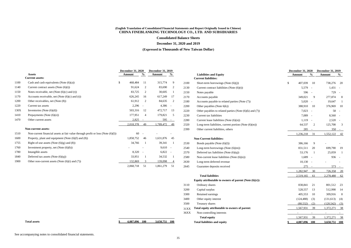#### **(English Translation of Consolidated Financial Statements and Report Originally Issued in Chinese) CHINA FINEBLANKING TECHNOLOGY CO., LTD. AND SUBSIDIARIES**

## **Consolidated Balance Sheets**

#### **December 31, 2020 and 2019**

## **(Expressed in Thousands of New Taiwan Dollar)**

#### **Total assets \$ 4,087,096 100 3,650,751 100**

|      |                                                                                 | <b>December 31, 2020</b> |                | <b>December 31, 2019</b> |                 |      |                                                              |    | <b>December 31, 2020</b> |                          | <b>December 31, 2019</b> |               |
|------|---------------------------------------------------------------------------------|--------------------------|----------------|--------------------------|-----------------|------|--------------------------------------------------------------|----|--------------------------|--------------------------|--------------------------|---------------|
|      | <b>Assets</b>                                                                   | Amount                   | $\frac{0}{0}$  | Amount                   | $\frac{0}{0}$   |      | <b>Liabilities and Equity</b>                                |    | Amount                   | $\frac{0}{0}$            | Amount                   | $\frac{6}{6}$ |
|      | <b>Current assets:</b>                                                          |                          |                |                          |                 |      | <b>Current liabilities:</b>                                  |    |                          |                          |                          |               |
| 1100 | Cash and cash equivalents (Note $(6)(a)$ )                                      | 468,484<br>-8            | -11            | 315,774                  | - 9             | 2100 | Short-term borrowings (Note $(6)(i)$ )                       | -S | 407,039                  | 10                       | 738,276 20               |               |
| 1140 | Current contract assets (Note $(6)(t)$ )                                        | 91,624                   | <sup>2</sup>   | 83,690                   | 2               | 2130 | Current contract liabilities (Note $(6)(t)$ )                |    | 5,579 -                  |                          | $1,431 -$                |               |
| 1150 | Notes receivable, net (Note $(6)(c)$ and $(t)$ )                                | 83,725                   | 2              | 30,605                   |                 | 2150 | Notes payable                                                |    | 596 -                    |                          | 729 -                    |               |
| 1170 | Accounts receivable, net (Note $(6)(c)$ and $(t)$ )                             | 626,245                  | 16             | 617,249                  | 17              | 2170 | Accounts payable                                             |    | 349,021                  | -9                       | 277,874                  | -8            |
| 1200 | Other receivables, net (Note (8))                                               | 61,912                   | 2              | 84,635                   | $\overline{2}$  | 2180 | Accounts payable to related parties (Note (7))               |    | $5,020 -$                |                          | 19,647                   |               |
| 1220 | Current tax assets                                                              | 2,296                    | $\sim$         | $4,386 -$                |                 | 2200 | Other payables (Note $6(k)$ )                                |    | 388,910 10               |                          | 376,969 10               |               |
| 130X | Inventories (Note $(6)(d)$ )                                                    | 503,316                  | 12             | 472,717                  | 13              | 2220 | Other payables to related parties (Note $(6)(k)$ and $(7)$ ) |    | $7,023 -$                |                          | 58                       | $\sim$ $-$    |
| 1410 | Prepayments (Note $(6)(e)$ )                                                    | 177,951                  | $\overline{4}$ | 179,821                  | $5\overline{)}$ | 2230 | Current tax liabilities                                      |    | 7,089 -                  |                          | $8,560 -$                |               |
| 1470 | Other current assets                                                            | $2,825 -$                |                | 595 -                    |                 | 2280 | Current lease liabilities (Note $(6)(n)$ )                   |    | $1,119 - 5$              |                          | $2,520 -$                |               |
|      |                                                                                 | 2,018,378                | 49             | 1,789,472 49             |                 | 2320 | Long-term liabilities, current portion (Note $(6)(m)$ )      |    | 64,537                   | $\overline{\phantom{a}}$ | 125,708 3                |               |
|      | <b>Non-current assets:</b>                                                      |                          |                |                          |                 | 2399 | Other current liabilities, others                            |    | $285 -$                  |                          | $350 -$                  |               |
| 1510 | Non-current financial assets at fair value through profit or loss (Note (6)(l)) | 60                       |                |                          |                 |      |                                                              |    | 1,236,218 31             |                          | 1,552,122 42             |               |
| 1600 | Property, plant and equipment (Note $(6)(f)$ and $(8))$                         | 1,858,752                | 46             | 1,631,876 45             |                 |      | <b>Non-Current liabilities:</b>                              |    |                          |                          |                          |               |
| 1755 | Right-of-use assets (Note $(6)(g)$ and $(8)$ )                                  | 34,766                   | $\overline{1}$ | 39,341                   | - 1             | 2530 | Bonds payable (Note $(6)(1)$ )                               |    | 386,166                  | -9                       |                          |               |
| 1760 | Investment property, net $(Note(6)(h))$                                         |                          |                | $9,610 -$                |                 | 2540 | Long-term borrowings (Note $(6)(m)$ )                        |    | 831,511                  | - 20                     | 699,790 19               |               |
| 1780 | Intangible assets                                                               | 8,320                    | $\sim$         | $6,822 -$                |                 | 2570 | Deferred tax liabilities (Note $(6)(q)$ )                    |    | 53,176                   | $\overline{1}$           | 25,059                   |               |
| 1840 | Deferred tax assets (Note $(6)(q)$ )                                            | 33,951                   | - 1            | 34,532                   |                 | 2580 | Non-current lease liabilities (Note $(6)(n)$ )               |    | $1,689 -$                |                          | 936 -                    |               |
| 1900 | Other non-current assets (Note $(6)(i)$ and $(7)$ )                             | 132,869                  | -3             | 139,098 4                |                 | 2630 | Long-term deferred revenue                                   |    | $10,130 -$               |                          |                          |               |
|      |                                                                                 | 2,068,718 51             |                | 1,861,279 51             |                 | 2645 | Guarantee deposits received                                  |    | $275 -$                  |                          | 573 -                    |               |
|      |                                                                                 |                          |                |                          |                 |      |                                                              |    | 1,282,947 30             |                          | 726,358 20               |               |
|      |                                                                                 |                          |                |                          |                 |      | <b>Total liabilities</b>                                     |    | 2,519,165                | - 61                     | 2,278,480 62             |               |
|      |                                                                                 |                          |                |                          |                 |      | Equity attributable to owners of parent (Note $(6)(r)$ ):    |    |                          |                          |                          |               |
|      |                                                                                 |                          |                |                          |                 | 3110 | Ordinary shares                                              |    | 838,841 21               |                          | 801,512 23               |               |
|      |                                                                                 |                          |                |                          |                 | 3200 | Capital surplus                                              |    | 528,557                  | 13                       | 512,998 14               |               |
|      |                                                                                 |                          |                |                          |                 | 3300 | Retained earnings                                            |    | 405,553                  | 10                       | 309,916                  | 8             |
|      |                                                                                 |                          |                |                          |                 | 3400 | Other equity interest                                        |    | (124, 488)               | (3)                      | $(131,613)$ (4)          |               |

l

| 3500 | Treasury shares |  |
|------|-----------------|--|
|------|-----------------|--|

- 31XX Total equity attributable to owners of parent:
- 36XX Non-controlling interests

|      |                                                              | <b>December 31, 2020</b> | <b>December 31, 2019</b> |                |                          |  |
|------|--------------------------------------------------------------|--------------------------|--------------------------|----------------|--------------------------|--|
|      | <b>Liabilities and Equity</b>                                | Amount                   | $\frac{6}{9}$            | Amount         | $\%$                     |  |
|      | <b>Current liabilities:</b>                                  |                          |                          |                |                          |  |
| 2100 | Short-term borrowings (Note $(6)(j)$ )                       | \$<br>407,039            | 10                       | 738,276        | 20                       |  |
| 2130 | Current contract liabilities (Note $(6)(t)$ )                | 5,579                    | $\overline{\phantom{a}}$ | 1,431          |                          |  |
| 2150 | Notes payable                                                | 596                      |                          | 729            |                          |  |
| 2170 | Accounts payable                                             | 349,021                  | 9                        | 277,874        | 8                        |  |
| 2180 | Accounts payable to related parties (Note (7))               | 5,020                    | $\Box$                   | 19,647         | $\mathbf{1}$             |  |
| 2200 | Other payables (Note $6(k)$ )                                | 388,910                  | 10                       | 376,969        | 10                       |  |
| 2220 | Other payables to related parties (Note $(6)(k)$ and $(7)$ ) | 7,023                    |                          | 58             |                          |  |
| 2230 | Current tax liabilities                                      | 7,089                    | $\sim$                   | 8,560          | $\overline{\phantom{a}}$ |  |
| 2280 | Current lease liabilities (Note $(6)(n)$ )                   | 1,119                    |                          | 2,520          |                          |  |
| 2320 | Long-term liabilities, current portion (Note (6)(m))         | 64,537                   | 2                        | 125,708        | 3                        |  |
| 2399 | Other current liabilities, others                            | 285                      | $\overline{\phantom{a}}$ | 350            | $\sim$                   |  |
|      |                                                              | 1,236,218                | 31                       | 1,552,122      | 42                       |  |
|      | <b>Non-Current liabilities:</b>                              |                          |                          |                |                          |  |
| 2530 | Bonds payable (Note (6)(1))                                  | 386,166                  | 9                        |                |                          |  |
| 2540 | Long-term borrowings (Note $(6)(m)$ )                        | 831,511                  | 20                       | 699,790        | 19                       |  |
| 2570 | Deferred tax liabilities (Note $(6)(q)$ )                    | 53,176                   | 1                        | 25,059         | $\overline{1}$           |  |
| 2580 | Non-current lease liabilities (Note $(6)(n)$ )               | 1,689                    | $\overline{\phantom{a}}$ | 936            |                          |  |
| 2630 | Long-term deferred revenue                                   | 10,130                   |                          |                |                          |  |
| 2645 | Guarantee deposits received                                  | 275                      |                          | 573            | $\sim$                   |  |
|      |                                                              | 1,282,947                | 30                       | 726,358        | 20                       |  |
|      | <b>Total liabilities</b>                                     | 2,519,165                | 61                       | 2,278,480      | 62                       |  |
|      | Equity attributable to owners of parent (Note $(6)(r)$ ):    |                          |                          |                |                          |  |
| 3110 | Ordinary shares                                              | 838,841                  | 21                       | 801,512        | 23                       |  |
| 3200 | Capital surplus                                              | 528,557                  | 13                       | 512,998        | 14                       |  |
| 3300 | Retained earnings                                            | 405,553                  | 10                       | 309,916        | 8                        |  |
| 3400 | Other equity interest                                        | (124, 488)               | (3)                      | (131, 613)     | (4)                      |  |
| 3500 | Treasury shares                                              | (80, 532)                | (2)                      | (120, 542)     | (3)                      |  |
| 31XX | Total equity attributable to owners of parent:               | 1,567,931                | 39                       | 1,372,271      | 38                       |  |
| 36XX | Non-controlling interests                                    |                          | $\overline{\phantom{a}}$ | $\blacksquare$ | $\sim$                   |  |
|      | <b>Total equity</b>                                          | 1,567,931                | 39                       | 1,372,271      | 38                       |  |
|      | <b>Total liabilities and equity</b>                          | 4,087,096 100            |                          | 3,650,751      | <b>100</b>               |  |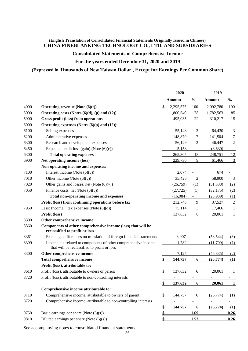#### **(English Translation of Consolidated Financial Statements Originally Issued in Chinese) CHINA FINEBLANKING TECHNOLOGY CO., LTD. AND SUBSIDIARIES**

**Consolidated Statements of Comprehensive Income** 

#### **For the years ended December 31, 2020 and 2019**

## **(Expressed in Thousands of New Taiwan Dollar , Except for Earnings Per Common Share)**

|      |                                                                                                               | 2020            | 2019           |           |                |
|------|---------------------------------------------------------------------------------------------------------------|-----------------|----------------|-----------|----------------|
|      |                                                                                                               | Amount          | $\frac{0}{0}$  | Amount    | $\frac{6}{10}$ |
| 4000 | Operating revenue (Note $(6)(t)$ )                                                                            | \$<br>2,295,575 | 100            | 2,092,780 | 100            |
| 5000 | Operating costs (Notes $(6)(d)$ , $(p)$ and $(12)$ )                                                          | 1,800,540       | 78             | 1,782,563 | 85             |
| 5900 | Gross profit (loss) from operations                                                                           | 495,035         | 22             | 310,217   | 15             |
| 6000 | Operating expenses (Notes $(6)(p)$ and $(12)$ ):                                                              |                 |                |           |                |
| 6100 | Selling expenses                                                                                              | 55,148          | 3              | 64,430    | 3              |
| 6200 | Administrative expenses                                                                                       | 148,870         | 7              | 141,504   | 7              |
| 6300 | Research and development expenses                                                                             | 56,129          | 3              | 46,447    | 2              |
| 6450 | Expected credit loss (gain) (Note $(6)(c)$ )                                                                  | 5,158           |                | (3,630)   |                |
| 6300 | <b>Total operating expenses</b>                                                                               | 265,305         | 13             | 248,751   | 12             |
| 6900 | Net operating income (loss)                                                                                   | 229,730         | 9              | 61,466    | $\overline{3}$ |
|      | Non-operating income and expenses:                                                                            |                 |                |           |                |
| 7100 | Interest income (Note $(6)(v)$ )                                                                              | 2,074           |                | 674       |                |
| 7010 | Other income (Note $(6)(v)$ )                                                                                 | 35,426          | $\overline{c}$ | 58,900    | 3              |
| 7020 | Other gains and losses, net (Note $(6)(v)$ )                                                                  | (26,759)        | (1)            | (51, 338) | (2)            |
| 7050 | Finance costs, net (Note $(6)(v)$ )                                                                           | (27, 725)       | (1)            | (32, 175) | (2)            |
|      | Total non-operating income and expenses                                                                       | (16,984)        | $\blacksquare$ | (23,939)  | (1)            |
|      | Profit (loss) from continuing operations before tax                                                           | 212,746         | 9              | 37,527    | $\overline{2}$ |
| 7950 | Less: Income<br>tax expenses (Note $(6)(q)$ )                                                                 | 75,114          | 3              | 17,466    | 1              |
|      | Profit (loss)                                                                                                 | 137,632         | 6              | 20,061    | 1              |
| 8300 | Other comprehensive income:                                                                                   |                 |                |           |                |
| 8360 | Components of other comprehensive income (loss) that will be<br>reclassified to profit or loss                |                 |                |           |                |
| 8361 | Exchange differences on translation of foreign financial statements                                           | 8,907           |                | (58, 544) | (3)            |
| 8399 | Income tax related to components of other comprehensive income<br>that will be reclassified to profit or loss | 1,782           |                | (11,709)  | (1)            |
| 8300 | Other comprehensive income                                                                                    | 7,125           |                | (46, 835) | (2)            |
|      | <b>Total comprehensive income</b>                                                                             | 144,757         | 6              | (26,774)  | (1)            |
|      | Profit (loss), attributable to:                                                                               |                 |                |           |                |
| 8610 | Profit (loss), attributable to owners of parent                                                               | \$<br>137,632   | 6              | 20,061    | 1              |
| 8720 | Profit (loss), attributable to non-controlling interests                                                      |                 |                |           |                |
|      |                                                                                                               | 137,632         | 6              | 20,061    |                |
|      | Comprehensive income attributable to:                                                                         |                 |                |           |                |
| 8710 | Comprehensive income, attributable to owners of parent                                                        | \$<br>144,757   | 6              | (26,774)  | (1)            |
| 8720 | Comprehensive income, attributable to non-controlling interests                                               |                 |                |           |                |
|      |                                                                                                               | 144,757         | 6              | (26, 774) | (1)            |
| 9750 | Basic earnings per share (Note $(6)(s)$ )                                                                     | \$              | 1.69           |           | 0.26           |
| 9810 | Diluted earnings per share (Note $(6)(s)$ )                                                                   |                 | 1.53           |           | 0.26           |

See accompanying notes to consolidated financial statements.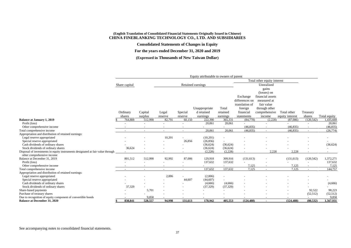#### **(English Translation of Consolidated Financial Statements Originally Issued in Chinese) CHINA FINEBLANKING TECHNOLOGY CO., LTD. AND SUBSIDIARIES**

**Consolidated Statements of Changes in Equity** 

**For the years ended December 31, 2020 and 2019** 

**(Expressed in Thousands of New Taiwan Dollar)** 

|                                                                                | Equity attributable to owners of parent |                          |                          |                          |                   |           |                          |                             |                          |            |              |
|--------------------------------------------------------------------------------|-----------------------------------------|--------------------------|--------------------------|--------------------------|-------------------|-----------|--------------------------|-----------------------------|--------------------------|------------|--------------|
|                                                                                |                                         |                          |                          |                          |                   |           |                          | Total other equity interest |                          |            |              |
|                                                                                | Share capital                           |                          |                          |                          | Retained earnings |           |                          | Unrealized                  |                          |            |              |
|                                                                                |                                         |                          |                          |                          |                   |           |                          | gains                       |                          |            |              |
|                                                                                |                                         |                          |                          |                          |                   |           |                          | (losses) on                 |                          |            |              |
|                                                                                |                                         |                          |                          |                          |                   |           |                          | financial assets            |                          |            |              |
|                                                                                |                                         |                          |                          |                          |                   |           | Exchange                 |                             |                          |            |              |
|                                                                                |                                         |                          |                          |                          |                   |           | differences on           | measured at                 |                          |            |              |
|                                                                                |                                         |                          |                          |                          |                   |           | translation of           | fair value                  |                          |            |              |
|                                                                                |                                         |                          |                          |                          | Unappropriate     | Total     | foreign                  | through other               |                          |            |              |
|                                                                                | Ordinary                                | Capital                  | Legal                    | Special                  | d retained        | retained  | financial                | comprehensive               | Total other              | Treasury   |              |
|                                                                                | shares                                  | surplus                  | reserve                  | reserve                  | earnings          | earnings  | statements               | income                      | equity interest          | shares     | Total equity |
| <b>Balance at January 1, 2019</b>                                              | 764,888                                 | 512,998                  | 82,791                   | 60,150                   | 222,390           | 365,331   | (84,778)                 | (2,228)                     | (87,006)                 | (120, 542) | 1,435,669    |
| Profit (loss)                                                                  | $\overline{\phantom{a}}$                | $\overline{\phantom{a}}$ | $\overline{\phantom{a}}$ |                          | 20,061            | 20,061    | $\overline{\phantom{0}}$ | $\overline{\phantom{a}}$    | $\overline{\phantom{a}}$ |            | 20,061       |
| Other comprehensive income                                                     |                                         |                          |                          |                          |                   |           | (46.835)                 | $\overline{\phantom{a}}$    | (46.835)                 | $\sim$     | (46, 835)    |
| Total comprehensive income                                                     |                                         | $\overline{\phantom{a}}$ | $\sim$                   | $\overline{\phantom{a}}$ | 20.061            | 20,061    | (46, 835)                | $\sim$                      | (46, 835)                | $\sim$     | (26,774)     |
| Appropriation and distribution of retained earnings:                           |                                         |                          |                          |                          |                   |           |                          |                             |                          |            |              |
| Legal reserve appropriated                                                     |                                         |                          | 10,201                   |                          | (10,201)          |           |                          |                             |                          |            |              |
| Special reserve appropriated                                                   |                                         |                          |                          | 26,856                   | (26, 856)         |           |                          |                             |                          |            |              |
| Cash dividends of ordinary shares                                              |                                         |                          |                          |                          | (36,624)          | (36,624)  |                          |                             |                          |            | (36, 624)    |
| Stock dividends of ordinary shares                                             | 36,624                                  |                          |                          |                          | (36,624)          | (36,624)  |                          |                             |                          |            |              |
| Disposal of investments in equity instruments designated at fair value through |                                         |                          |                          |                          | (2,228)           | (2.228)   |                          | 2.228                       | 2.228                    |            |              |
| other comprehensive income                                                     |                                         |                          |                          |                          |                   |           |                          |                             |                          |            |              |
| Balance at December 31, 2019                                                   | 801,512                                 | 512,998                  | 92,992                   | 87,006                   | 129,918           | 309,916   | (131, 613)               |                             | (131, 613)               | (120, 542) | 1,372,271    |
| Profit (loss)                                                                  |                                         |                          |                          |                          | 137,632           | 137,632   |                          |                             |                          |            | 137,632      |
| Other comprehensive income                                                     |                                         |                          |                          |                          |                   |           | 7,125                    |                             | 7,125                    |            | 7,125        |
| Total comprehensive income                                                     |                                         |                          |                          |                          | 137,632           | 137,632   | 7,125                    |                             | 7,125                    |            | 144,757      |
| Appropriation and distribution of retained earnings:                           |                                         |                          |                          |                          |                   |           |                          |                             |                          |            |              |
| Legal reserve appropriated                                                     |                                         |                          | 2,006                    |                          | (2,006)           |           |                          |                             |                          |            |              |
| Special reserve appropriated                                                   |                                         |                          |                          | 44,607                   | (44, 607)         |           |                          |                             |                          |            |              |
| Cash dividends of ordinary shares                                              |                                         |                          |                          |                          | (4,666)           | (4,666)   |                          |                             |                          |            | (4,666)      |
| Stock dividends of ordinary shares                                             | 37,329                                  |                          |                          |                          | (37, 329)         | (37, 329) |                          |                             |                          |            |              |
| Share-based payments                                                           |                                         | 5,701                    |                          |                          |                   |           |                          |                             |                          | 92,522     | 98,223       |
| Purchase of treasury shares                                                    |                                         |                          |                          |                          |                   |           |                          |                             |                          | (52, 512)  | (52, 512)    |
| Due to recognition of equity component of convertible bonds                    |                                         | 9.858                    |                          |                          |                   |           |                          |                             |                          |            | 9,858        |
| <b>Balance at December 31, 2020</b>                                            | 838,841                                 | 528.557                  | 94.998                   | 131.613                  | 178.942           | 405.553   | (124, 488)               |                             | (124, 488)               | (80.532)   | 1.567.931    |

See accompanying notes to consolidated financial statements.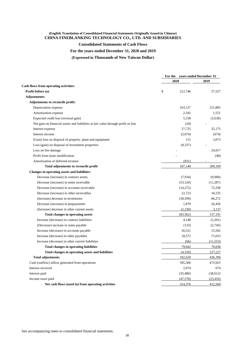#### **(English Translation of Consolidated Financial Statements Originally Issued in Chinese) CHINA FINEBLANKING TECHNOLOGY CO., LTD. AND SUBSIDIARIES**

#### **Consolidated Statements of Cash Flows**

#### **For the years ended December 31, 2020 and 2019**

## **(Expressed in Thousands of New Taiwan Dollar)**

|                                                                                   | For the | years ended December 31 |           |
|-----------------------------------------------------------------------------------|---------|-------------------------|-----------|
|                                                                                   |         | 2020                    | 2019      |
| Cash flows from operating activities:                                             |         |                         |           |
| Profit before tax                                                                 | \$      | 212,746                 | 37,527    |
| <b>Adjustments:</b>                                                               |         |                         |           |
| Adjustments to reconcile profit:                                                  |         |                         |           |
| Depreciation expense                                                              |         | 163,127                 | 151,805   |
| Amortization expense                                                              |         | 2,341                   | 1,551     |
| Expected credit loss (reversal gain)                                              |         | 5,158                   | (3,630)   |
| Net gain on financial assets and liabilities at fair value through profit or loss |         | (20)                    |           |
| Interest expense                                                                  |         | 27,725                  | 32,175    |
| Interest income                                                                   |         | (2,074)                 | (674)     |
| (Gain) loss on disposal of property, plant and equipment                          |         | 151                     | 3,073     |
| Loss (gain) on disposal of investment properties                                  |         | (8, 337)                |           |
| Loss on fire damage                                                               |         |                         | 24,917    |
| Profit from lease modification                                                    |         |                         | (48)      |
| Amortization of deferred revenue                                                  |         | (931)                   |           |
| Total adjustments to reconcile profit                                             |         | 187,140                 | 209,169   |
| Changes in operating assets and liabilities:                                      |         |                         |           |
| Decrease (increase) in contract assets                                            |         | (7,934)                 | (9,960)   |
| Decrease (increase) in notes receivable                                           |         | (53, 120)               | (11,287)  |
| Decrease (increase) in accounts receivable                                        |         | (14,272)                | 72,338    |
| Decrease (increase) in other receivables                                          |         | 22,723                  | 10,235    |
| (Increase) decrease in inventories                                                |         | (30, 599)               | 66,272    |
| Decrease (increase) in prepayments                                                |         | 1,870                   | 26,456    |
| (Increase) decrease in other current assets                                       |         | (2,230)                 | 3,137     |
| <b>Total changes in operating assets</b>                                          |         | (83, 562)               | 157,191   |
| Increase (decrease) in contract liabilities                                       |         | 4,148                   | (2,201)   |
| (Decrease) increase in notes payable                                              |         | (133)                   | (2,745)   |
| Increase (decrease) in accounts payable                                           |         | 56,521                  | 15,502    |
| Increase (decrease) in other payables                                             |         | 18,572                  | 71,033    |
| Increase (decrease) in other current liabilities                                  |         | (66)                    | (11,553)  |
| <b>Total changes in operating liabilities</b>                                     |         | 79,042                  | 70,036    |
| Total changes in operating assets and liabilities                                 |         | (4,520)                 | 227,227   |
| <b>Total adjustments</b>                                                          |         | 182,620                 | 436,396   |
| Cash (outflow) inflow generated from operations                                   |         | 395,366                 | 473,923   |
| Interest received                                                                 |         | 2,074                   | 674       |
| Interest paid                                                                     |         | (35, 486)               | (38, 612) |
| Income taxes paid                                                                 |         | (47,578)                | (23, 416) |
| Net cash flows (used in) from operating activities                                |         | 314,376                 | 412,569   |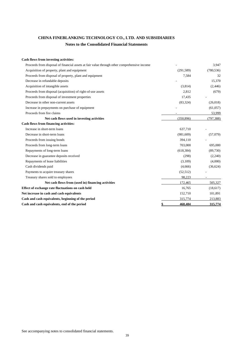# **CHINA FINEBLANKING TECHNOLOGY CO., LTD. AND SUBSIDIARIES**

## **Notes to the Consolidated Financial Statements**

| Cash flows from investing activities:                                                       |            |            |
|---------------------------------------------------------------------------------------------|------------|------------|
| Proceeds from disposal of financial assets at fair value through other comprehensive income |            | 3,947      |
| Acquisition of property, plant and equipment                                                | (291, 589) | (780, 536) |
| Proceeds from disposal of property, plant and equipment                                     | 7,584      | 32         |
| Decrease in refundable deposits                                                             |            | 15,370     |
| Acquisition of intangible assets                                                            | (3,814)    | (2, 446)   |
| Proceeds from disposal (acquisition) of right-of-use assets                                 | 2,812      | (679)      |
| Proceeds from disposal of investment properties                                             | 17,435     |            |
| Decrease in other non-current assets                                                        | (83, 324)  | (26,018)   |
| Increase in prepayments on purchase of equipment                                            |            | (61,057)   |
| Proceeds from fire claims                                                                   |            | 53,999     |
| Net cash flows used in investing activities                                                 | (350, 896) | (797, 388) |
| <b>Cash flows from financing activities:</b>                                                |            |            |
| Increase in short-term loans                                                                | 637,710    |            |
| Decrease in short-term loans                                                                | (981, 609) | (57,079)   |
| Proceeds from issuing bonds                                                                 | 394,110    |            |
| Proceeds from long-term loans                                                               | 703,000    | 695,000    |
| Repayments of long-term loans                                                               | (618, 384) | (89,730)   |
| Decrease in guarantee deposits received                                                     | (298)      | (2,240)    |
| Repayments of lease liabilities                                                             | (3,109)    | (4,000)    |
| Cash dividends paid                                                                         | (4,666)    | (36, 624)  |
| Payments to acquire treasury shares                                                         | (52, 512)  |            |
| Treasury shares sold to employees                                                           | 98,223     |            |
| Net cash flows from (used in) financing activities                                          | 172,465    | 505,327    |
| Effect of exchange rate fluctuations on cash held                                           | 16,765     | (18,617)   |
| Net increase in cash and cash equivalents                                                   | 152,710    | 101,891    |
| Cash and cash equivalents, beginning of the period                                          | 315,774    | 213,883    |
| Cash and cash equivalents, end of the period                                                | 468,484    | 315,774    |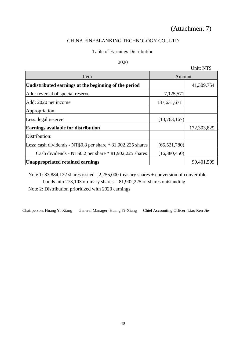# (Attachment 7)

Unit: NT\$

## CHINA FINEBLANKING TECHNOLOGY CO., LTD

#### Table of Earnings Distribution

|                                                              |              | UIIII. $111 \phi$ |  |  |
|--------------------------------------------------------------|--------------|-------------------|--|--|
| Item                                                         | Amount       |                   |  |  |
| Undistributed earnings at the beginning of the period        |              | 41,309,754        |  |  |
| Add: reversal of special reserve                             | 7,125,571    |                   |  |  |
| Add: 2020 net income                                         | 137,631,671  |                   |  |  |
| Appropriation:                                               |              |                   |  |  |
| Less: legal reserve                                          | (13,763,167) |                   |  |  |
| Earnings available for distribution                          |              | 172,303,829       |  |  |
| Distribution:                                                |              |                   |  |  |
| Less: cash dividends - NT\$0.8 per share * 81,902,225 shares | (65,521,780) |                   |  |  |
| Cash dividends - NT\$0.2 per share $*81,902,225$ shares      | (16,380,450) |                   |  |  |
| <b>Unappropriated retained earnings</b>                      |              | 90,401,599        |  |  |

Note 1: 83,884,122 shares issued - 2,255,000 treasury shares + conversion of convertible bonds into 273,103 ordinary shares  $= 81,902,225$  of shares outstanding Note 2: Distribution prioritized with 2020 earnings

Chairperson: Huang Yi-Xiang General Manager: Huang Yi-Xiang Chief Accounting Officer: Liao Ren-Jie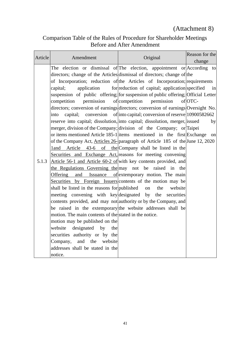# (Attachment 8)

## Comparison Table of the Rules of Procedure for Shareholder Meetings Before and After Amendment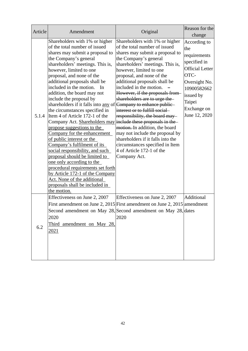| Article | Amendment                                                                                                                                                                                                                                                                                                                                                                                                                                                                                                                                                                                                                                                                                                                                                                                                                                                                          | Original                                                                                                                                                                                                                                                                                                                                                                                                                                                                                                                                                                                                                                                                           | Reason for the<br>change                                                                                                                                                     |
|---------|------------------------------------------------------------------------------------------------------------------------------------------------------------------------------------------------------------------------------------------------------------------------------------------------------------------------------------------------------------------------------------------------------------------------------------------------------------------------------------------------------------------------------------------------------------------------------------------------------------------------------------------------------------------------------------------------------------------------------------------------------------------------------------------------------------------------------------------------------------------------------------|------------------------------------------------------------------------------------------------------------------------------------------------------------------------------------------------------------------------------------------------------------------------------------------------------------------------------------------------------------------------------------------------------------------------------------------------------------------------------------------------------------------------------------------------------------------------------------------------------------------------------------------------------------------------------------|------------------------------------------------------------------------------------------------------------------------------------------------------------------------------|
| 5.1.4   | Shareholders with 1% or higher<br>of the total number of issued<br>shares may submit a proposal to<br>the Company's general<br>shareholders' meetings. This is,<br>however, limited to one<br>proposal, and none of the<br>additional proposals shall be<br>included in the motion.<br>In<br>addition, the board may not<br>include the proposal by<br>shareholders if it falls into any of<br>the circumstances specified in<br>Item 4 of Article 172-1 of the<br>Company Act. Shareholders may<br>propose suggestions to the<br>Company for the enhancement<br>of public interest or the<br>Company's fulfilment of its<br>social responsibility, and such<br>proposal should be limited to<br>one only according to the<br>procedural requirements set forth<br>by Article 172-1 of the Company<br>Act. None of the additional<br>proposals shall be included in<br>the motion. | Shareholders with 1% or higher<br>of the total number of issued<br>shares may submit a proposal to<br>the Company's general<br>shareholders' meetings. This is,<br>however, limited to one<br>proposal, and none of the<br>additional proposals shall be<br>included in the motion.<br>However, if the proposals from<br>shareholders are to urge the-<br>Company to enhance public-<br>interest or to fulfill social<br>responsibility, the board may<br>include these proposals in the<br>motion. In addition, the board<br>may not include the proposal by<br>shareholders if it falls into the<br>circumstances specified in Item<br>4 of Article 172-1 of the<br>Company Act. | According to<br>the<br>requirements<br>specified in<br><b>Official Letter</b><br>OTC-<br>Oversight No.<br>10900582662<br>issued by<br>Taipei<br>Exchange on<br>June 12, 2020 |
| 6.2     | Effectiveness on June 2, 2007<br>2020<br>Third amendment on May 28,<br>2021                                                                                                                                                                                                                                                                                                                                                                                                                                                                                                                                                                                                                                                                                                                                                                                                        | Effectiveness on June 2, 2007<br>First amendment on June 2, 2015 First amendment on June 2, 2015 amendment<br>Second amendment on May 28, Second amendment on May 28, dates<br>2020                                                                                                                                                                                                                                                                                                                                                                                                                                                                                                | Additional                                                                                                                                                                   |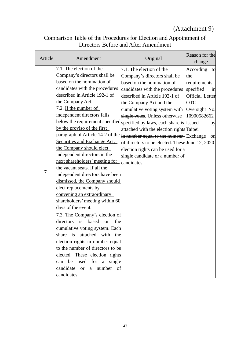# (Attachment 9)

## Comparison Table of the Procedures for Election and Appointment of Directors Before and After Amendment

| Article | Amendment                                   | Original                                                                | Reason for the<br>change |
|---------|---------------------------------------------|-------------------------------------------------------------------------|--------------------------|
|         | 7.1. The election of the                    | 7.1. The election of the                                                | According<br>to          |
|         | Company's directors shall be                | Company's directors shall be                                            | the                      |
|         | based on the nomination of                  | based on the nomination of                                              | requirements             |
|         | candidates with the procedures              | candidates with the procedures                                          | specified<br>in          |
|         | described in Article 192-1 of               | described in Article 192-1 of                                           | <b>Official Letter</b>   |
|         | the Company Act.                            | the Company Act and the-                                                | OTC-                     |
|         | 7.2. If the number of                       | eumulative voting system with Oversight No.                             |                          |
|         | independent directors falls                 | single votes. Unless otherwise                                          | 10900582662              |
|         |                                             | below the requirement specified specified by laws, each share is issued | by                       |
|         | by the proviso of the first                 | attached with the election rights Taipei                                |                          |
|         |                                             | paragraph of Article 14-2 of the in number equal to the number-Exchange | on                       |
|         | Securities and Exchange Act,                | of directors to be elected. These June 12, 2020                         |                          |
|         | the Company should elect                    | election rights can be used for a                                       |                          |
|         | independent directors in the                | single candidate or a number of                                         |                          |
|         | next shareholders' meeting for              | candidates.                                                             |                          |
| 7       | the vacant seats. If all the                |                                                                         |                          |
|         | independent directors have been             |                                                                         |                          |
|         | dismissed, the Company should               |                                                                         |                          |
|         | elect replacements by                       |                                                                         |                          |
|         | convening an extraordinary                  |                                                                         |                          |
|         | shareholders' meeting within 60             |                                                                         |                          |
|         | days of the event.                          |                                                                         |                          |
|         | 7.3. The Company's election of              |                                                                         |                          |
|         | directors<br>is<br>based<br>the<br>on       |                                                                         |                          |
|         | cumulative voting system. Each              |                                                                         |                          |
|         | share is<br>attached with<br>the            |                                                                         |                          |
|         | election rights in number equal             |                                                                         |                          |
|         | to the number of directors to be            |                                                                         |                          |
|         | elected. These election rights              |                                                                         |                          |
|         | can be used for a single                    |                                                                         |                          |
|         | candidate<br>number<br><b>or</b><br>of<br>a |                                                                         |                          |
|         | candidates.                                 |                                                                         |                          |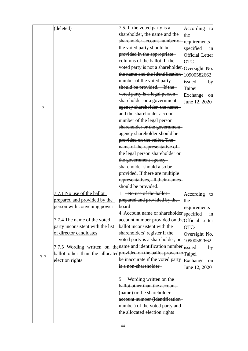|     | (deleted)                        | 7.5. If the voted party is a                                                    | According<br>to        |
|-----|----------------------------------|---------------------------------------------------------------------------------|------------------------|
|     |                                  | shareholder, the name and the                                                   | the                    |
|     |                                  | shareholder account number of                                                   | requirements           |
|     |                                  | the voted party should be                                                       | specified<br>in        |
|     |                                  | provided in the appropriate                                                     | <b>Official Letter</b> |
|     |                                  | eolumns of the ballot. If the–                                                  | OTC-                   |
|     |                                  | voted party is not a shareholder, Oversight No.                                 |                        |
|     |                                  | the name and the identification                                                 | 10900582662            |
|     |                                  | number of the voted party                                                       | issued<br>by           |
|     |                                  | should be provided. If the                                                      | Taipei                 |
|     |                                  | voted party is a legal person-                                                  | Exchange<br>on         |
|     |                                  | shareholder or a government                                                     | June 12, 2020          |
| 7   |                                  | agency shareholder, the name                                                    |                        |
|     |                                  | and the shareholder account—                                                    |                        |
|     |                                  | number of the legal person-                                                     |                        |
|     |                                  | shareholder or the government                                                   |                        |
|     |                                  | agency shareholder should be-                                                   |                        |
|     |                                  | provided on the ballot. The                                                     |                        |
|     |                                  | name of the representative of                                                   |                        |
|     |                                  | the legal person shareholder or                                                 |                        |
|     |                                  | the government agency-                                                          |                        |
|     |                                  | shareholder should also be                                                      |                        |
|     |                                  | provided. If there are multiple                                                 |                        |
|     |                                  | representatives, all their names                                                |                        |
|     |                                  | should be provided.                                                             |                        |
|     | 7.7.1 No use of the ballot       | 1. No use of the ballot-                                                        | According<br>to        |
|     | prepared and provided by the     | prepared and provided by the                                                    | the                    |
|     | person with convening power      | board                                                                           | requirements           |
|     |                                  | 4. Account name or shareholder specified                                        | in                     |
|     | 7.7.4 The name of the voted      | account number provided on the Official Letter                                  |                        |
|     | party inconsistent with the list | ballot inconsistent with the                                                    | OTC-                   |
|     | of director candidates           | shareholders' register if the                                                   | Oversight No.          |
|     |                                  | voted party is a shareholder, or  10900582662                                   |                        |
|     |                                  | 7.7.5 Wording written on the name and identification number issued              | by                     |
| 7.7 |                                  | ballot other than the allocated provided on the ballot proven to $\Gamma$ aipei |                        |
|     | election rights                  | be inaccurate if the voted party                                                | Exchange<br>on         |
|     |                                  | <del>is a non-shareholder-</del>                                                | June 12, 2020          |
|     |                                  |                                                                                 |                        |
|     |                                  | 5. Wording written on the                                                       |                        |
|     |                                  | ballot other than the account                                                   |                        |
|     |                                  | (name) or the shareholder                                                       |                        |
|     |                                  | account number (identification                                                  |                        |
|     |                                  | number) of the voted party and                                                  |                        |
|     |                                  | the allocated election rights                                                   |                        |
|     |                                  |                                                                                 |                        |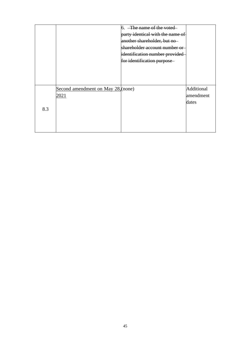|     |                                    | 6. The name of the voted         |                   |
|-----|------------------------------------|----------------------------------|-------------------|
|     |                                    | party identical with the name of |                   |
|     |                                    | another shareholder, but no-     |                   |
|     |                                    | shareholder account number or    |                   |
|     |                                    | identification number provided   |                   |
|     |                                    |                                  |                   |
|     |                                    | for identification purpose-      |                   |
|     |                                    |                                  |                   |
|     |                                    |                                  |                   |
|     |                                    |                                  |                   |
|     | Second amendment on May 28, (none) |                                  | <b>Additional</b> |
|     | 2021                               |                                  | amendment         |
|     |                                    |                                  | dates             |
| 8.3 |                                    |                                  |                   |
|     |                                    |                                  |                   |
|     |                                    |                                  |                   |
|     |                                    |                                  |                   |
|     |                                    |                                  |                   |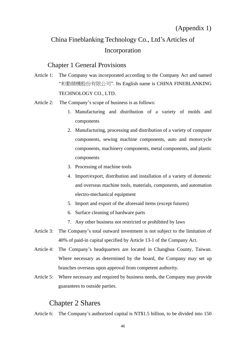## (Appendix 1)

# China Fineblanking Technology Co., Ltd's Articles of Incorporation

## Chapter 1 General Provisions

- Article 1: The Company was incorporated according to the Company Act and named "和勤精機股份有限公司". Its English name is CHINA FINEBLANKING TECHNOLOGY CO., LTD.
- Article 2: The Company's scope of business is as follows:
	- 1. Manufacturing and distribution of a variety of molds and components
	- 2. Manufacturing, processing and distribution of a variety of computer components, sewing machine components, auto and motorcycle components, machinery components, metal components, and plastic components
	- 3. Processing of machine tools
	- 4. Import/export, distribution and installation of a variety of domestic and overseas machine tools, materials, components, and automation electro-mechanical equipment
	- 5. Import and export of the aforesaid items (except futures)
	- 6. Surface cleaning of hardware parts
	- 7. Any other business not restricted or prohibited by laws
- Article 3: The Company's total outward investment is not subject to the limitation of 40% of paid-in capital specified by Article 13-1 of the Company Act.
- Article 4: The Company's headquarters are located in Changhua County, Taiwan. Where necessary as determined by the board, the Company may set up branches overseas upon approval from competent authority.
- Article 5: Where necessary and required by business needs, the Company may provide guarantees to outside parties.

## Chapter 2 Shares

Article 6: The Company's authorized capital is NT\$1.5 billion, to be divided into 150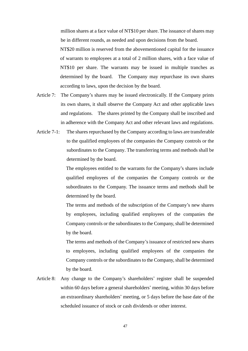million shares at a face value of NT\$10 per share. The issuance of shares may be in different rounds, as needed and upon decisions from the board.

NT\$20 million is reserved from the abovementioned capital for the issuance of warrants to employees at a total of 2 million shares, with a face value of NT\$10 per share. The warrants may be issued in multiple tranches as determined by the board. The Company may repurchase its own shares according to laws, upon the decision by the board.

- Article 7: The Company's shares may be issued electronically. If the Company prints its own shares, it shall observe the Company Act and other applicable laws and regulations. The shares printed by the Company shall be inscribed and in adherence with the Company Act and other relevant laws and regulations.
- Article 7-1: The shares repurchased by the Company according to laws are transferable to the qualified employees of the companies the Company controls or the subordinates to the Company. The transferring terms and methods shall be determined by the board.

The employees entitled to the warrants for the Company's shares include qualified employees of the companies the Company controls or the subordinates to the Company. The issuance terms and methods shall be determined by the board.

The terms and methods of the subscription of the Company's new shares by employees, including qualified employees of the companies the Company controls or the subordinates to the Company, shall be determined by the board.

The terms and methods of the Company's issuance of restricted new shares to employees, including qualified employees of the companies the Company controls or the subordinates to the Company, shall be determined by the board.

Article 8: Any change to the Company's shareholders' register shall be suspended within 60 days before a general shareholders' meeting, within 30 days before an extraordinary shareholders' meeting, or 5 days before the base date of the scheduled issuance of stock or cash dividends or other interest.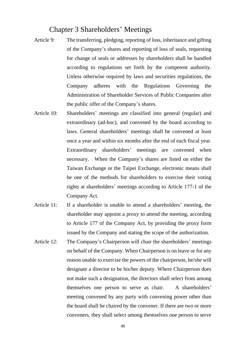# Chapter 3 Shareholders' Meetings

- Article 9: The transferring, pledging, reporting of loss, inheritance and gifting of the Company's shares and reporting of loss of seals, requesting for change of seals or addresses by shareholders shall be handled according to regulations set forth by the competent authority. Unless otherwise required by laws and securities regulations, the Company adheres with the Regulations Governing the Administration of Shareholder Services of Public Companies after the public offer of the Company's shares.
- Article 10: Shareholders' meetings are classified into general (regular) and extraordinary (ad-hoc), and convened by the board according to laws. General shareholders' meetings shall be convened at least once a year and within six months after the end of each fiscal year. Extraordinary shareholders' meetings are convened when necessary. When the Company's shares are listed on either the Taiwan Exchange or the Taipei Exchange, electronic means shall be one of the methods for shareholders to exercise their voting rights at shareholders' meetings according to Article 177-1 of the Company Act.
- Article 11: If a shareholder is unable to attend a shareholders' meeting, the shareholder may appoint a proxy to attend the meeting, according to Article 177 of the Company Act, by providing the proxy form issued by the Company and stating the scope of the authorization.
- Article 12: The Company's Chairperson will chair the shareholders' meetings on behalf of the Company. When Chairperson is on leave or for any reason unable to exercise the powers of the chairperson, he/she will designate a director to be his/her deputy. Where Chairperson does not make such a designation, the directors shall select from among themselves one person to serve as chair. A shareholders' meeting convened by any party with convening power other than the board shall be chaired by the convener. If there are two or more conveners, they shall select among themselves one person to serve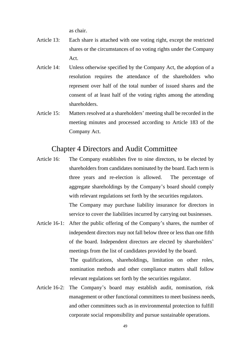as chair.

- Article 13: Each share is attached with one voting right, except the restricted shares or the circumstances of no voting rights under the Company Act.
- Article 14: Unless otherwise specified by the Company Act, the adoption of a resolution requires the attendance of the shareholders who represent over half of the total number of issued shares and the consent of at least half of the voting rights among the attending shareholders.
- Article 15: Matters resolved at a shareholders' meeting shall be recorded in the meeting minutes and processed according to Article 183 of the Company Act.

# Chapter 4 Directors and Audit Committee

- Article 16: The Company establishes five to nine directors, to be elected by shareholders from candidates nominated by the board. Each term is three years and re-election is allowed. The percentage of aggregate shareholdings by the Company's board should comply with relevant regulations set forth by the securities regulators. The Company may purchase liability insurance for directors in service to cover the liabilities incurred by carrying out businesses.
- Article 16-1: After the public offering of the Company's shares, the number of independent directors may not fall below three or less than one fifth of the board. Independent directors are elected by shareholders' meetings from the list of candidates provided by the board. The qualifications, shareholdings, limitation on other roles, nomination methods and other compliance matters shall follow relevant regulations set forth by the securities regulator.
- Article 16-2: The Company's board may establish audit, nomination, risk management or other functional committees to meet business needs, and other committees such as in environmental protection to fulfill corporate social responsibility and pursue sustainable operations.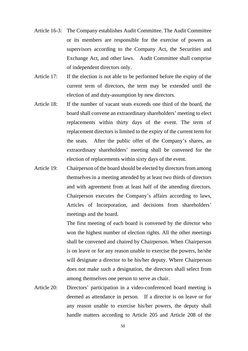- Article 16-3: The Company establishes Audit Committee. The Audit Committee or its members are responsible for the exercise of powers as supervisors according to the Company Act, the Securities and Exchange Act, and other laws. Audit Committee shall comprise of independent directors only.
- Article 17: If the election is not able to be performed before the expiry of the current term of directors, the term may be extended until the election of and duty-assumption by new directors.
- Article 18: If the number of vacant seats exceeds one third of the board, the board shall convene an extraordinary shareholders' meeting to elect replacements within thirty days of the event. The term of replacement directors is limited to the expiry of the current term for the seats. After the public offer of the Company's shares, an extraordinary shareholders' meeting shall be convened for the election of replacements within sixty days of the event.
- Article 19: Chairperson of the board should be elected by directors from among themselves in a meeting attended by at least two thirds of directors and with agreement from at least half of the attending directors. Chairperson executes the Company's affairs according to laws, Articles of Incorporation, and decisions from shareholders' meetings and the board.

The first meeting of each board is convened by the director who won the highest number of election rights. All the other meetings shall be convened and chaired by Chairperson. When Chairperson is on leave or for any reason unable to exercise the powers, he/she will designate a director to be his/her deputy. Where Chairperson does not make such a designation, the directors shall select from among themselves one person to serve as chair.

Article 20: Directors' participation in a video-conferenced board meeting is deemed as attendance in person. If a director is on leave or for any reason unable to exercise his/her powers, the deputy shall handle matters according to Article 205 and Article 208 of the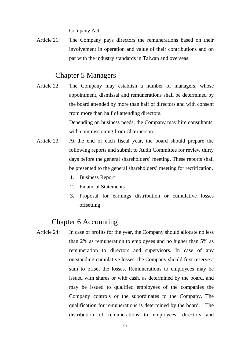Company Act.

Article 21: The Company pays directors the remunerations based on their involvement in operation and value of their contributions and on par with the industry standards in Taiwan and overseas.

## Chapter 5 Managers

Article 22: The Company may establish a number of managers, whose appointment, dismissal and remunerations shall be determined by the board attended by more than half of directors and with consent from more than half of attending directors.

Depending on business needs, the Company may hire consultants, with commissioning from Chairperson.

- Article 23: At the end of each fiscal year, the board should prepare the following reports and submit to Audit Committee for review thirty days before the general shareholders' meeting. These reports shall be presented to the general shareholders' meeting for rectification.
	- 1. Business Report
	- 2. Financial Statements
	- 3. Proposal for earnings distribution or cumulative losses offsetting

# Chapter 6 Accounting

Article 24: In case of profits for the year, the Company should allocate no less than 2% as remuneration to employees and no higher than 5% as remuneration to directors and supervisors. In case of any outstanding cumulative losses, the Company should first reserve a sum to offset the losses. Remunerations to employees may be issued with shares or with cash, as determined by the board, and may be issued to qualified employees of the companies the Company controls or the subordinates to the Company. The qualification for remunerations is determined by the board. The distribution of remunerations to employees, directors and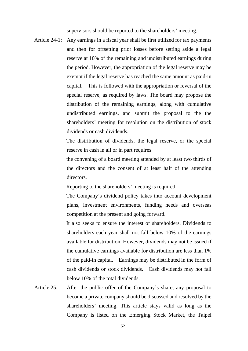supervisors should be reported to the shareholders' meeting.

Article 24-1: Any earnings in a fiscal year shall be first utilized for tax payments and then for offsetting prior losses before setting aside a legal reserve at 10% of the remaining and undistributed earnings during the period. However, the appropriation of the legal reserve may be exempt if the legal reserve has reached the same amount as paid-in capital. This is followed with the appropriation or reversal of the special reserve, as required by laws. The board may propose the distribution of the remaining earnings, along with cumulative undistributed earnings, and submit the proposal to the the shareholders' meeting for resolution on the distribution of stock dividends or cash dividends.

> The distribution of dividends, the legal reserve, or the special reserve in cash in all or in part requires

> the convening of a board meeting attended by at least two thirds of the directors and the consent of at least half of the attending directors.

Reporting to the shareholders' meeting is required.

The Company's dividend policy takes into account development plans, investment environments, funding needs and overseas competition at the present and going forward.

It also seeks to ensure the interest of shareholders. Dividends to shareholders each year shall not fall below 10% of the earnings available for distribution. However, dividends may not be issued if the cumulative earnings available for distribution are less than 1% of the paid-in capital. Earnings may be distributed in the form of cash dividends or stock dividends. Cash dividends may not fall below 10% of the total dividends.

Article 25: After the public offer of the Company's share, any proposal to become a private company should be discussed and resolved by the shareholders' meeting. This article stays valid as long as the Company is listed on the Emerging Stock Market, the Taipei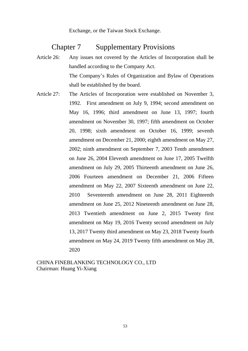Exchange, or the Taiwan Stock Exchange.

## Chapter 7 Supplementary Provisions

- Article 26: Any issues not covered by the Articles of Incorporation shall be handled according to the Company Act. The Company's Rules of Organization and Bylaw of Operations shall be established by the board.
- Article 27: The Articles of Incorporation were established on November 3, 1992. First amendment on July 9, 1994; second amendment on May 16, 1996; third amendment on June 13, 1997; fourth amendment on November 30, 1997; fifth amendment on October 20, 1998; sixth amendment on October 16, 1999; seventh amendment on December 21, 2000; eighth amendment on May 27, 2002; ninth amendment on September 7, 2003 Tenth amendment on June 26, 2004 Eleventh amendment on June 17, 2005 Twelfth amendment on July 29, 2005 Thirteenth amendment on June 26, 2006 Fourteen amendment on December 21, 2006 Fifteen amendment on May 22, 2007 Sixteenth amendment on June 22, 2010 Seventeenth amendment on June 28, 2011 Eighteenth amendment on June 25, 2012 Nineteenth amendment on June 28, 2013 Twentieth amendment on June 2, 2015 Twenty first amendment on May 19, 2016 Twenty second amendment on July 13, 2017 Twenty third amendment on May 23, 2018 Twenty fourth amendment on May 24, 2019 Twenty fifth amendment on May 28, 2020

CHINA FINEBLANKING TECHNOLOGY CO., LTD Chairman: Huang Yi-Xiang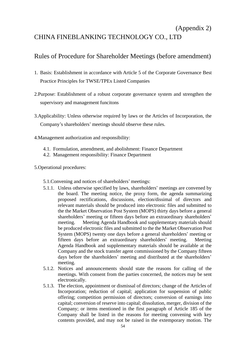(Appendix 2)

## CHINA FINEBLANKING TECHNOLOGY CO., LTD

## Rules of Procedure for Shareholder Meetings (before amendment)

- 1. Basis: Establishment in accordance with Article 5 of the Corporate Governance Best Practice Principles for TWSE/TPEx Listed Companies
- 2.Purpose: Establishment of a robust corporate governance system and strengthen the supervisory and management funcitons

3.Applicability: Unless otherwise required by laws or the Articles of Incorporation, the Company's shareholders' meetings should observe these rules.

- 4.Management authorization and responsibility:
	- 4.1. Formulation, amendment, and abolishment: Finance Department
	- 4.2. Management responsibility: Finance Department

5.Operational procedures:

- 5.1.Convening and notices of shareholders' meetings:
- 5.1.1. Unless otherwise specified by laws, shareholders' meetings are convened by the board. The meeting notice, the proxy form, the agenda summarizing proposed rectifications, discussions, election/dissimal of directors and relevant materials should be produced into electronic files and submitted to the the Market Observation Post System (MOPS) thirty days before a general shareholders' meeting or fifteen days before an extraordinary shareholders' meeting. Meeting Agenda Handbook and supplementary materials should be produced electronic files and submitted to the the Market Observation Post System (MOPS) twenty one days before a general shareholders' meeting or fifteen days before an extraordinary shareholders' meeting. Meeting Agenda Handbook and supplementary materials should be available at the Company and the stock transfer agent commissioned by the Company fifteen days before the shareholders' meeting and distributed at the shareholders' meeting.
- 5.1.2. Notices and announcements should state the reasons for calling of the meetings. With consent from the parties concerned, the notices may be sent electronically.
- 5.1.3. The election, appointment or dismissal of directors; change of the Articles of Incorporation; reduction of capital; application for suspension of public offering; competition permission of directors; conversion of earnings into capital; conversion of reserve into capital; dissolution, merger, division of the Company; or items mentioned in the first paragraph of Article 185 of the Company shall be listed in the reasons for meeting convening with key contents provided, and may not be raised in the extemporary motion. The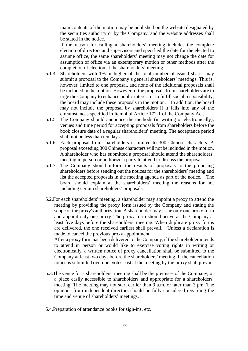main contents of the motion may be published on the website designated by the securities authority or by the Company, and the website addresses shall be stated in the notice.

If the reason for calling a shareholders' meeting includes the complete election of directors and supervisors and specified the date for the elected to assume office, the same shareholders' meeting may not change the date for assumption of office via an extemporary motion or other methods after the completion of election at the shareholders' meeting.

- 5.1.4. Shareholders with 1% or higher of the total number of issued shares may submit a proposal to the Company's general shareholders' meetings. This is, however, limited to one proposal, and none of the additional proposals shall be included in the motion. However, if the proposals from shareholders are to urge the Company to enhance public interest or to fulfill social responsibility, the board may include these proposals in the motion. In addition, the board may not include the proposal by shareholders if it falls into any of the circumstances specified in Item 4 of Article 172-1 of the Company Act.
- 5.1.5. The Company should announce the methods (in writing or electronically), venues and time period for accepting proposals from shareholders before the book closure date of a regular shareholders' meeting. The acceptance period shall not be less than ten days.
- 5.1.6. Each proposal from shareholders is limited to 300 Chinese characters. A proposal exceeding 300 Chinese characters will not be included in the motion. A shareholder who has submitted a proposal should attend the shareholders' meeting in person or authorize a party to attend to discuss the proposal.
- 5.1.7. The Company should inform the results of proposals to the proposing shareholders before sending out the notices for the shareholders' meeting and list the accepted proposals in the meeting agenda as part of the notice. The board should explain at the shareholders' meeting the reasons for not including certain shareholders' proposals.
- 5.2.For each shareholders' meeting, a shareholder may appoint a proxy to attend the meeting by providing the proxy form issued by the Company and stating the scope of the proxy's authorization. A shareholder may issue only one proxy form and appoint only one proxy. The proxy form should arrive at the Company at least five days before the shareholders' meeting. When duplicate proxy forms are delivered, the one received earliest shall prevail. Unless a declaration is made to cancel the previous proxy appointment.

After a proxy form has been delivered to the Company, if the shareholder intends to attend in person or would like to exercise voting rights in writing or electronically, a written notice of proxy cancellation shall be submitted to the Company at least two days before the shareholders' meeting. If the cancellation notice is submitted overdue, votes cast at the meeting by the proxy shall prevail.

- 5.3.The venue for a shareholders' meeting shall be the premises of the Company, or a place easily accessible to shareholders and appropriate for a shareholders' meeting. The meeting may not start earlier than 9 a.m. or later than 3 pm. The opinions from independent directors should be fully considered regarding the time and venue of shareholders' meetings.
- 5.4.Preparation of attendance books for sign-ins, etc.: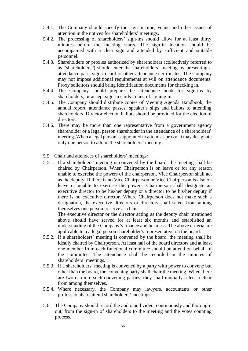- 5.4.1. The Company should specify the sign-in time, venue and other issues of attention in the notices for shareholders' meetings.
- 5.4.2. The processing of shareholders' sign-ins should allow for at least thirty minutes before the meeting starts. The sign-in location should be accompanied with a clear sign and attended by sufficient and suitable personnel.
- 5.4.3. Shareholders or proxies authorized by shareholders (collectively referred to as "shareholders") should enter the shareholders' meeting by presenting a attendance pass, sign-in card or other attendance certificates. The Company may not impose additional requirements at will on attendance documents. Proxy solicitors should bring identification documents for checking in.
- 5.4.4. The Company should prepare the attendance book for sign-ins by shareholders, or accept sign-in cards in lieu of signing in.
- 5.4.5. The Company should distribute copies of Meeting Agenda Handbook, the annual report, attendance passes, speaker's slips and ballots to attending shareholders. Director election ballots should be provided for the election of directors.
- 5.4.6. There may be more than one representative from a government agency shareholder or a legal person shareholder in the attendance of a shareholders' meeting. When a legal person is appointed to attend as proxy, it may designate only one person to attend the shareholders' meeting.
- 5.5. Chair and attendees of shareholders' meetings:
- 5.5.1. If a shareholders' meeting is convened by the board, the meeting shall be chaired by Chairperson. When Chairperson is on leave or for any reason unable to exercise the powers of the chairperson, Vice Chairperson shall act as the deputy. If there is no Vice Chairperson or Vice Chairperson is also on leave or unable to exercise the powers, Chairperson shall designate an executive director to be his/her deputy or a director to be his/her deputy if there is no executive director. Where Chairperson does not make such a designation, the executive directors or directors shall select from among themselves one person to serve as chair.

The executive director or the director acting as the deputy chair mentioned above should have served for at least six months and established an understanding of the Company's finance and business. The above criteria are applicable to a a legal person shareholder's representative on the board.

- 5.5.2. If a shareholders' meeting is convened by the board, the meeting shall be ideally chaired by Chairperson. At least half of the board directors and at least one member from each functional committee should be attend on behalf of the committee. The attendance shall be recorded in the minutes of shareholders' meetings.
- 5.5.3. If a shareholders' meeting is convened by a party with power to convene but other than the board, the convening party shall chair the meeting. When there are two or more such convening parties, they shall mutually select a chair from among themselves.
- 5.5.4. Where necessary, the Company may lawyers, accountants or other professionals to attend shareholders' meetings.
- 5.6. The Company should record the audio and video, continuously and thoroughout, from the sign-in of shareholders to the meeting and the votes counting process.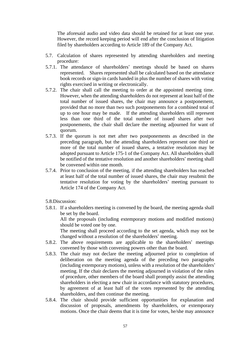The aforesaid audio and video data should be retained for at least one year. However, the record keeping period will end after the conclusion of litigation filed by shareholders according to Article 189 of the Company Act.

- 5.7. Calculation of shares represented by attending shareholders and meeting procedure:
- 5.7.1. The attendance of shareholders' meetings should be based on shares represented. Shares represented shall be calculated based on the attendance book records or sign-in cards handed in plus the number of shares with voting rights exercised in writing or electronically.
- 5.7.2. The chair shall call the meeting to order at the appointed meeting time. However, when the attending shareholders do not represent at least half of the total number of issued shares, the chair may announce a postponement, provided that no more than two such postponements for a combined total of up to one hour may be made. If the attending shareholders still represent less than one third of the total number of issued shares after two postponements, the chair shall declare the meeting adjourned for want of quorum.
- 5.7.3. If the quorum is not met after two postponements as described in the preceding paragraph, but the attending shareholders represent one third or more of the total number of issued shares, a tentative resolution may be adopted pursuant to Article 175-1 of the Company Act. All shareholders shall be notified of the tentative resolution and another shareholders' meeting shall be convened within one month.
- 5.7.4. Prior to conclusion of the meeting, if the attending shareholders has reached at least half of the total number of issued shares, the chair may resubmit the tentative resolution for voting by the shareholders' meeting pursuant to Article 174 of the Company Act.
- 5.8.Discussion:
- 5.8.1. If a shareholders meeting is convened by the board, the meeting agenda shall be set by the board.

All the proposals (including extemporary motions and modified motions) should be voted one by one.

The meeting shall proceed according to the set agenda, which may not be changed without a resolution of the shareholders' meeting.

- 5.8.2. The above requirements are applicable to the shareholders' meetings convened by those with convening powers other than the board.
- 5.8.3. The chair may not declare the meeting adjourned prior to completion of deliberation on the meeting agenda of the preceding two paragraphs (including extemporary motions), unless with a resolution of the shareholders' meeting. If the chair declares the meeting adjourned in violation of the rules of procedure, other members of the board shall promptly assist the attending shareholders in electing a new chair in accordance with statutory procedures, by agreement of at least half of the votes represented by the attending shareholders, and then continue the meeting.
- 5.8.4. The chair should provide sufficient opportunities for explanation and discussion of proposals, amendments by shareholders, or extemporary motions. Once the chair deems that it is time for votes, he/she may announce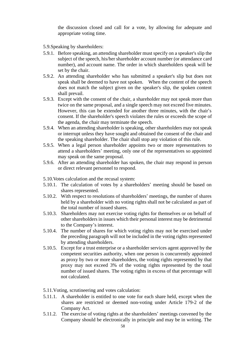the discussion closed and call for a vote, by allowing for adequate and appropriate voting time.

- 5.9.Speaking by shareholders:
- 5.9.1. Before speaking, an attending shareholder must specify on a speaker's slip the subject of the speech, his/her shareholder account number (or attendance card number), and account name. The order in which shareholders speak will be set by the chair.
- 5.9.2. An attending shareholder who has submitted a speaker's slip but does not speak shall be deemed to have not spoken. When the content of the speech does not match the subject given on the speaker's slip, the spoken content shall prevail.
- 5.9.3. Except with the consent of the chair, a shareholder may not speak more than twice on the same proposal, and a single speech may not exceed five minutes. However, this can be extended for another three minutes, with the chair's consent. If the shareholder's speech violates the rules or exceeds the scope of the agenda, the chair may terminate the speech.
- 5.9.4. When an attending shareholder is speaking, other shareholders may not speak or interrupt unless they have sought and obtained the consent of the chair and the speaking shareholder. The chair shall stop any violation of this rule.
- 5.9.5. When a legal person shareholder appoints two or more representatives to attend a shareholders' meeting, only one of the representatives so appointed may speak on the same proposal.
- 5.9.6. After an attending shareholder has spoken, the chair may respond in person or direct relevant personnel to respond.
- 5.10.Votes calculation and the recusal system:
- 5.10.1. The calculation of votes by a shareholders' meeting should be based on shares represented.
- 5.10.2. With respect to resolutions of shareholders' meetings, the number of shares held by a shareholder with no voting rights shall not be calculated as part of the total number of issued shares.
- 5.10.3. Shareholders may not exercise voting rights for themselves or on behalf of other shareholders in issues which their personal interest may be detrimental to the Company's interest.
- 5.10.4. The number of shares for which voting rights may not be exercised under the preceding paragraph will not be included in the voting rights represented by attending shareholders.
- 5.10.5. Except for a trust enterprise or a shareholder services agent approved by the competent securities authority, when one person is concurrently appointed as proxy by two or more shareholders, the voting rights represented by that proxy may not exceed 3% of the voting rights represented by the total number of issued shares. The voting rights in excess of that percentage will not calculated.
- 5.11.Voting, scrutineering and votes calculation:
- 5.11.1. A shareholder is entitled to one vote for each share held, except when the shares are restricted or deemed non-voting under Article 179-2 of the Company Act.
- 5.11.2. The exercise of voting rights at the shareholders' meetings convened by the Company should be electronically in principle and may be in writing. The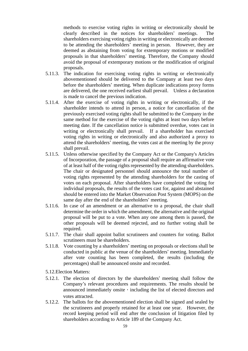methods to exercise voting rights in writing or electronically should be clearly described in the notices for shareholders' meetings. The shareholders exercising voting rights in writing or electronically are deemed to be attending the shareholders' meeting in person. However, they are deemed as abstaining from voting for extemporary motions or modified proposals in that shareholders' meeting. Therefore, the Company should avoid the proposal of extemporary motions or the modification of original proposals.

- 5.11.3. The indication for exercising voting rights in writing or electronically abovementioned should be delivered to the Company at least two days before the shareholders' meeting. When duplicate indications proxy forms are delivered, the one received earliest shall prevail. Unless a declaration is made to cancel the previous indication.
- 5.11.4. After the exercise of voting rights in writing or electronically, if the shareholder intends to attend in person, a notice for cancellation of the previously exercised voting rights shall be submitted to the Company in the same method for the exercise of the voting rights at least two days before meeting date. If the cancellation notice is submitted overdue, votes cast in writing or electronically shall prevail. If a shareholder has exercised voting rights in writing or electronically and also authorized a proxy to attend the shareholders' meeting, the votes cast at the meeting by the proxy shall prevail.
- 5.11.5. Unless otherwise specified by the Company Act or the Company's Articles of Incorporation, the passage of a proposal shall require an affirmative vote of at least half of the voting rights represented by the attending shareholders. The chair or designated personnel should announce the total number of voting rights represented by the attending shareholders for the casting of votes on each proposal. After shareholders have completed the voting for individual proposals, the results of the votes cast for, against and abstained should be entered into the Market Observation Post System (MOPS) on the same day after the end of the shareholders' meeting.
- 5.11.6. In case of an amendment or an alternative to a proposal, the chair shall determine the order in which the amendment, the alternative and the original proposal will be put to a vote. When any one among them is passed, the other proposals will be deemed rejected, and no further voting shall be required.
- 5.11.7. The chair shall appoint ballot scrutineers and counters for voting. Ballot scrutineers must be shareholders.
- 5.11.8. Vote counting by a shareholders' meeting on proposals or elections shall be conducted in public at the venue of the shareholders' meeting. Immediately after vote counting has been completed, the results (including the percentages) shall be announced onsite and recorded.
- 5.12.Election Matters:
- 5.12.1. The election of directors by the shareholders' meeting shall follow the Company's relevant procedures and requirements. The results should be announced immediately onsite, including the list of elected directors and votes attracted.
- 5.12.2. The ballots for the abovementioned election shall be signed and sealed by the scrutineers and properly retained for at least one year. However, the record keeping period will end after the conclusion of litigation filed by shareholders according to Article 189 of the Company Act.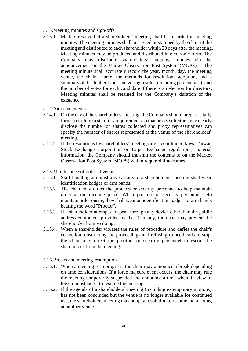- 5.13.Meeting minutes and sign-offs:
- 5.13.1. Matters resolved at a shareholders' meeting shall be recorded in meeting minutes. The meeting minutes shall be signed or stamped by the chair of the meeting and distributed to each shareholder within 20 days after the meeting. Meeting minutes may be produced and distributed in electronic form. The Company may distribute shareholders' meeting minutes via the announcement on the Market Observation Post System (MOPS). The meeting minute shall accurately record the year, month, day, the meeting venue, the chair's name, the methods for resolutions adoption, and a summary of the deliberations and voting results (including percentages), and the number of votes for each candidate if there is an election for directors. Meeting minutes shall be retained for the Company's duration of the existence.
- 5.14.Announcements:
- 5.14.1. On the day of the shareholders' meeting, the Company should prepare a tally form according to statutory requirements so that proxy solicitors may clearly disclose the number of shares collected and proxy representatives can specify the number of shares represented at the venue of the shareholders' meeting.
- 5.14.2. If the resolutions by shareholders' meetings are, according to laws, Taiwan Stock Exchange Corporation or Taipei Exchange regulations, material information, the Company should transmit the contents to on the Market Observation Post System (MOPS) within required timeframes.
- 5.15.Maintenance of order at venues:
- 5.15.1. Staff handling administrative affairs of a shareholders' meeting shall wear identification badges or arm bands.
- 5.15.2. The chair may direct the proctors or security personnel to help maintain order at the meeting place. When proctors or security personnel help maintain order onsite, they shall wear an identification badges or arm bands bearing the word "Proctor".
- 5.15.3. If a shareholder attempts to speak through any device other than the public address equipment provided by the Company, the chair may prevent the shareholder from so doing.
- 5.15.4. When a shareholder violates the rules of procedure and defies the chair's correction, obstructing the proceedings and refusing to heed calls to stop, the chair may direct the proctors or security personnel to escort the shareholder from the meeting.
- 5.16.Breaks and meeting resumption
- 5.16.1. When a meeting is in progress, the chair may announce a break depending on time considerations. If a force majeure event occurs, the chair may rule the meeting temporarily suspended and announce a time when, in view of the circumstances, to resume the meeting.
- 5.16.2. If the agenda of a shareholders' meeting (including extemporary motions) has not been concluded but the venue is no longer available for continued use, the shareholders meeting may adopt a resolution to resume the meeting at another venue.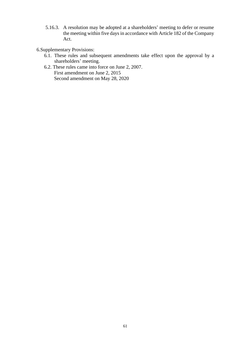5.16.3. A resolution may be adopted at a shareholders' meeting to defer or resume the meeting within five days in accordance with Article 182 of the Company Act.

6.Supplementary Provisions:

- 6.1. These rules and subsequent amendments take effect upon the approval by a shareholders' meeting.
- 6.2. These rules came into force on June 2, 2007. First amendment on June 2, 2015 Second amendment on May 28, 2020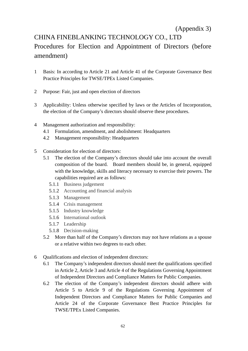(Appendix 3)

# CHINA FINEBLANKING TECHNOLOGY CO., LTD

# Procedures for Election and Appointment of Directors (before amendment)

- 1 Basis: In according to Article 21 and Article 41 of the Corporate Governance Best Practice Principles for TWSE/TPEx Listed Companies.
- 2 Purpose: Fair, just and open election of directors
- 3 Applicability: Unless otherwise specified by laws or the Articles of Incorporation, the election of the Company's directors should observe these procedures.
- 4 Management authorization and responsibility:
	- 4.1 Formulation, amendment, and abolishment: Headquarters
	- 4.2 Management responsibility: Headquarters
- 5 Consideration for election of directors:
	- 5.1 The election of the Company's directors should take into account the overall composition of the board. Board members should be, in general, equipped with the knowledge, skills and literacy necessary to exercise their powers. The capabilities required are as follows:
		- 5.1.1 Business judgement
		- 5.1.2 Accounting and financial analysis
		- 5.1.3 Management
		- 5.1.4 Crisis management
		- 5.1.5 Industry knowledge
		- 5.1.6 International outlook
		- 5.1.7 Leadership
		- 5.1.8 Decision-making
	- 5.2 More than half of the Company's directors may not have relations as a spouse or a relative within two degrees to each other.
- 6 Qualifications and election of independent directors:
	- 6.1 The Company's independent directors should meet the qualifications specified in Article 2, Article 3 and Article 4 of the Regulations Governing Appointment of Independent Directors and Compliance Matters for Public Companies.
	- 6.2 The election of the Company's independent directors should adhere with Article 5 to Article 9 of the Regulations Governing Appointment of Independent Directors and Compliance Matters for Public Companies and Article 24 of the Corporate Governance Best Practice Principles for TWSE/TPEx Listed Companies.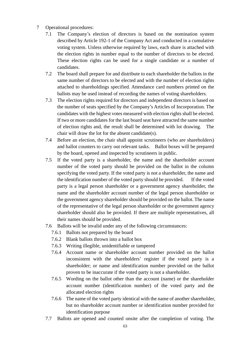- 7 Operational procedures:
	- 7.1 The Company's election of directors is based on the nomination system described by Article 192-1 of the Company Act and conducted in a cumulative voting system. Unless otherwise required by laws, each share is attached with the election rights in number equal to the number of directors to be elected. These election rights can be used for a single candidate or a number of candidates.
	- 7.2 The board shall prepare for and distribute to each shareholder the ballots in the same number of directors to be elected and with the number of election rights attached to shareholdings specified. Attendance card numbers printed on the ballots may be used instead of recording the names of voting shareholders.
	- 7.3 The election rights required for directors and independent directors is based on the number of seats specified by the Company's Articles of Incorporation. The candidates with the highest votes measured with election rights shall be elected. If two or more candidates for the last board seat have attracted the same number of election rights and, the result shall be determined with lot drawing. The chair will draw the lot for the absent candidate(s).
	- 7.4 Before an election, the chair shall appoint scrutineers (who are shareholders) and ballot counters to carry out relevant tasks. Ballot boxes will be prepared by the board, opened and inspected by scrutineers in public.
	- 7.5 If the voted party is a shareholder, the name and the shareholder account number of the voted party should be provided on the ballot in the column specifying the voted party. If the voted party is not a shareholder, the name and the identification number of the voted party should be provided. If the voted party is a legal person shareholder or a government agency shareholder, the name and the shareholder account number of the legal person shareholder or the government agency shareholder should be provided on the ballot. The name of the representative of the legal person shareholder or the government agency shareholder should also be provided. If there are multiple representatives, all their names should be provided.
	- 7.6 Ballots will be invalid under any of the following circumstances:
		- 7.6.1 Ballots not prepared by the board
		- 7.6.2 Blank ballots thrown into a ballot box
		- 7.6.3 Writing illegible, unidentifiable or tampered
		- 7.6.4 Account name or shareholder account number provided on the ballot inconsistent with the shareholders' register if the voted party is a shareholder; or name and identification number provided on the ballot proven to be inaccurate if the voted party is not a shareholder.
		- 7.6.5 Wording on the ballot other than the account (name) or the shareholder account number (identification number) of the voted party and the allocated election rights
		- 7.6.6 The name of the voted party identical with the name of another shareholder, but no shareholder account number or identification number provided for identification purpose
	- 7.7 Ballots are opened and counted onsite after the completion of voting. The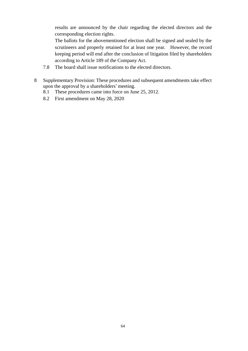results are announced by the chair regarding the elected directors and the corresponding election rights.

The ballots for the abovementioned election shall be signed and sealed by the scrutineers and properly retained for at least one year. However, the record keeping period will end after the conclusion of litigation filed by shareholders according to Article 189 of the Company Act.

- 7.8 The board shall issue notifications to the elected directors.
- 8 Supplementary Provision: These procedures and subsequent amendments take effect upon the approval by a shareholders' meeting.
	- 8.1 These procedures came into force on June 25, 2012.
	- 8.2 First amendment on May 28, 2020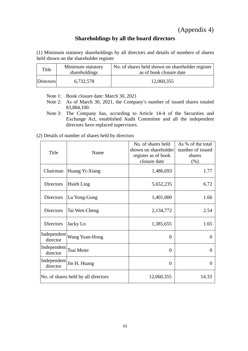(Appendix 4)

## **Shareholdings by all the board directors**

(1) Minimum statutory shareholdings by all directors and details of numbers of shares held shown on the shareholder register

| Title     | Minimum statutory<br>shareholdings | No. of shares held shown on shareholder register<br>as of book closure date |
|-----------|------------------------------------|-----------------------------------------------------------------------------|
| Directors | 6,732,578                          | 12,060,355                                                                  |

Note 1: Book closure date: March 30, 2021

- Note 2: As of March 30, 2021, the Company's number of issued shares totaled 83,884,100.
- Note 3: The Company has, according to Article 14-4 of the Securities and Exchange Act, established Audit Committee and all the independent directors have replaced supervisors.

| (2) Details of number of shares held by directors |
|---------------------------------------------------|
|---------------------------------------------------|

| Title                              | Name                                | No. of shares held<br>shown on shareholder<br>register as of book<br>closure date | As % of the total<br>number of issued<br>shares<br>$(\%)$ |
|------------------------------------|-------------------------------------|-----------------------------------------------------------------------------------|-----------------------------------------------------------|
| Chairman                           | Huang Yi-Xiang                      | 1,486,693                                                                         | 1.77                                                      |
| Directors                          | <b>Hsieh Ling</b>                   | 5,652,235                                                                         | 6.72                                                      |
| <b>Directors</b>                   | Lu Yong-Gong                        | 1,401,000                                                                         | 1.66                                                      |
| <b>Directors</b>                   | Tai Wen-Cheng                       | 2,134,772                                                                         | 2.54                                                      |
| Directors                          | Jacky Lo                            | 1,385,655                                                                         | 1.65                                                      |
| director                           | Independent Wang Yuan-Hong          | $\overline{0}$                                                                    | 0                                                         |
| Independent Tsai Meier<br>director |                                     | $\Omega$                                                                          | $\Omega$                                                  |
| director                           | Independent Jin H. Huang            | $\overline{0}$                                                                    | 0                                                         |
|                                    | No. of shares held by all directors | 12,060,355                                                                        | 14.33                                                     |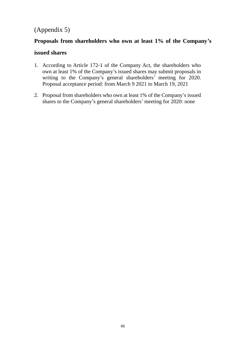# (Appendix 5)

## **Proposals from shareholders who own at least 1% of the Company's**

## **issued shares**

- 1. According to Article 172-1 of the Company Act, the shareholders who own at least 1% of the Company's issued shares may submit proposals in writing to the Company's general shareholders' meeting for 2020. Proposal acceptance period: from March 9 2021 to March 19, 2021
- 2. Proposal from shareholders who own at least 1% of the Company's issued shares to the Company's general shareholders' meeting for 2020: none